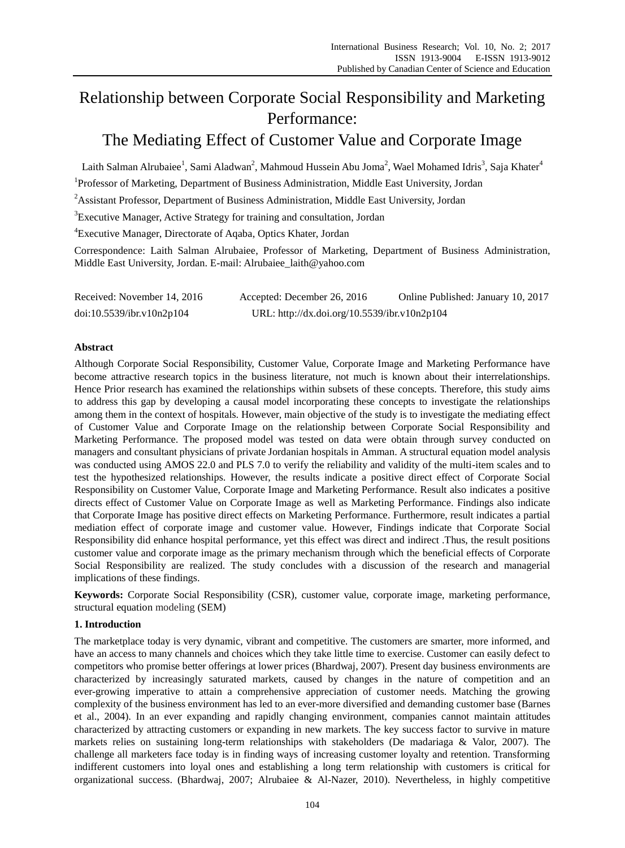# Relationship between Corporate Social Responsibility and Marketing Performance:

# The Mediating Effect of Customer Value and Corporate Image

Laith Salman Alrubaiee<sup>1</sup>, Sami Aladwan<sup>2</sup>, Mahmoud Hussein Abu Joma<sup>2</sup>, Wael Mohamed Idris<sup>3</sup>, Saja Khater<sup>4</sup>

<sup>1</sup>Professor of Marketing, Department of Business Administration, Middle East University, Jordan

<sup>2</sup> Assistant Professor, Department of Business Administration, Middle East University, Jordan

<sup>3</sup>Executive Manager, Active Strategy for training and consultation, Jordan

<sup>4</sup>Executive Manager, Directorate of Aqaba, Optics Khater, Jordan

Correspondence: Laith Salman Alrubaiee, Professor of Marketing, Department of Business Administration, Middle East University, Jordan. E-mail: Alrubaiee\_laith@yahoo.com

| Received: November 14, 2016 | Accepted: December 26, 2016                  | Online Published: January 10, 2017 |  |  |
|-----------------------------|----------------------------------------------|------------------------------------|--|--|
| doi:10.5539/ibr.v10n2p104   | URL: http://dx.doi.org/10.5539/ibr.v10n2p104 |                                    |  |  |

# **Abstract**

Although Corporate Social Responsibility, Customer Value, Corporate Image and Marketing Performance have become attractive research topics in the business literature, not much is known about their interrelationships. Hence Prior research has examined the relationships within subsets of these concepts. Therefore, this study aims to address this gap by developing a causal model incorporating these concepts to investigate the relationships among them in the context of hospitals. However, main objective of the study is to investigate the mediating effect of Customer Value and Corporate Image on the relationship between Corporate Social Responsibility and Marketing Performance. The proposed model was tested on data were obtain through survey conducted on managers and consultant physicians of private Jordanian hospitals in Amman. A structural equation model analysis was conducted using AMOS 22.0 and PLS 7.0 to verify the reliability and validity of the multi-item scales and to test the hypothesized relationships. However, the results indicate a positive direct effect of Corporate Social Responsibility on Customer Value, Corporate Image and Marketing Performance. Result also indicates a positive directs effect of Customer Value on Corporate Image as well as Marketing Performance. Findings also indicate that Corporate Image has positive direct effects on Marketing Performance. Furthermore, result indicates a partial mediation effect of corporate image and customer value. However, Findings indicate that Corporate Social Responsibility did enhance hospital performance, yet this effect was direct and indirect .Thus, the result positions customer value and corporate image as the primary mechanism through which the beneficial effects of Corporate Social Responsibility are realized. The study concludes with a discussion of the research and managerial implications of these findings.

**Keywords:** Corporate Social Responsibility (CSR), customer value, corporate image, marketing performance, structural equation modeling (SEM)

# **1. Introduction**

The marketplace today is very dynamic, vibrant and competitive. The customers are smarter, more informed, and have an access to many channels and choices which they take little time to exercise. Customer can easily defect to competitors who promise better offerings at lower prices (Bhardwaj, 2007). Present day business environments are characterized by increasingly saturated markets, caused by changes in the nature of competition and an ever-growing imperative to attain a comprehensive appreciation of customer needs. Matching the growing complexity of the business environment has led to an ever-more diversified and demanding customer base (Barnes et al., 2004). In an ever expanding and rapidly changing environment, companies cannot maintain attitudes characterized by attracting customers or expanding in new markets. The key success factor to survive in mature markets relies on sustaining long-term relationships with stakeholders (De madariaga & Valor, 2007). The challenge all marketers face today is in finding ways of increasing customer loyalty and retention. Transforming indifferent customers into loyal ones and establishing a long term relationship with customers is critical for organizational success. (Bhardwaj, 2007; Alrubaiee & Al-Nazer, 2010). Nevertheless, in highly competitive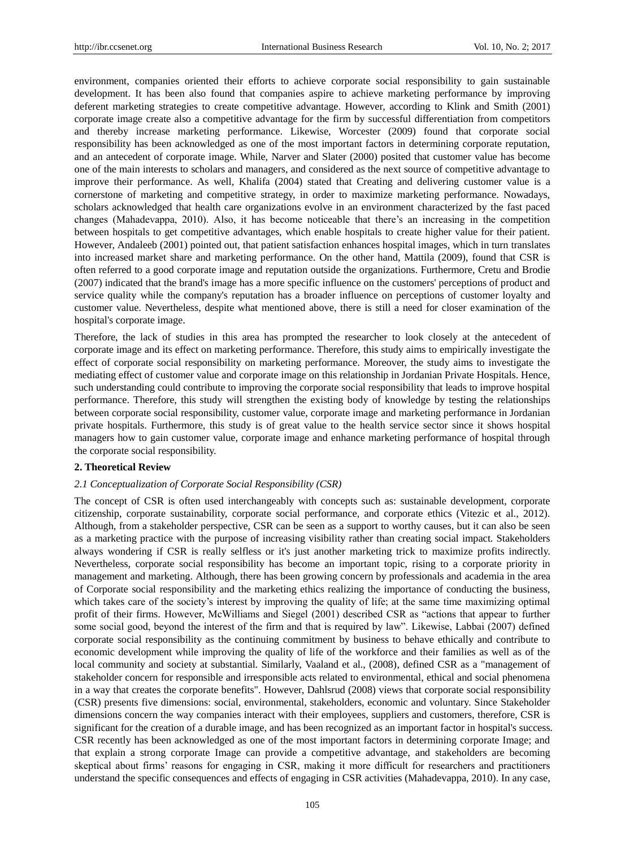environment, companies oriented their efforts to achieve corporate social responsibility to gain sustainable development. It has been also found that companies aspire to achieve marketing performance by improving deferent marketing strategies to create competitive advantage. However, according to Klink and Smith (2001) corporate image create also a competitive advantage for the firm by successful differentiation from competitors and thereby increase marketing performance. Likewise, Worcester (2009) found that corporate social responsibility has been acknowledged as one of the most important factors in determining corporate reputation, and an antecedent of corporate image. While, Narver and Slater (2000) posited that customer value has become one of the main interests to scholars and managers, and considered as the next source of competitive advantage to improve their performance. As well, Khalifa (2004) stated that Creating and delivering customer value is a cornerstone of marketing and competitive strategy, in order to maximize marketing performance. Nowadays, scholars acknowledged that health care organizations evolve in an environment characterized by the fast paced changes (Mahadevappa, 2010). Also, it has become noticeable that there"s an increasing in the competition between hospitals to get competitive advantages, which enable hospitals to create higher value for their patient. However, Andaleeb (2001) pointed out, that patient satisfaction enhances hospital images, which in turn translates into increased market share and marketing performance. On the other hand, Mattila (2009), found that CSR is often referred to a good corporate image and reputation outside the organizations. Furthermore, Cretu and Brodie (2007) indicated that the brand's image has a more specific influence on the customers' perceptions of product and service quality while the company's reputation has a broader influence on perceptions of customer loyalty and customer value. Nevertheless, despite what mentioned above, there is still a need for closer examination of the hospital's corporate image.

Therefore, the lack of studies in this area has prompted the researcher to look closely at the antecedent of corporate image and its effect on marketing performance. Therefore, this study aims to empirically investigate the effect of corporate social responsibility on marketing performance. Moreover, the study aims to investigate the mediating effect of customer value and corporate image on this relationship in Jordanian Private Hospitals. Hence, such understanding could contribute to improving the corporate social responsibility that leads to improve hospital performance. Therefore, this study will strengthen the existing body of knowledge by testing the relationships between corporate social responsibility, customer value, corporate image and marketing performance in Jordanian private hospitals. Furthermore, this study is of great value to the health service sector since it shows hospital managers how to gain customer value, corporate image and enhance marketing performance of hospital through the corporate social responsibility.

# **2. Theoretical Review**

# *2.1 Conceptualization of Corporate Social Responsibility (CSR)*

The concept of CSR is often used interchangeably with concepts such as: sustainable development, corporate citizenship, corporate sustainability, corporate social performance, and corporate ethics (Vitezic et al., 2012). Although, from a stakeholder perspective, CSR can be seen as a support to worthy causes, but it can also be seen as a marketing practice with the purpose of increasing visibility rather than creating social impact. Stakeholders always wondering if CSR is really selfless or it's just another marketing trick to maximize profits indirectly. Nevertheless, corporate social responsibility has become an important topic, rising to a corporate priority in management and marketing. Although, there has been growing concern by professionals and academia in the area of Corporate social responsibility and the marketing ethics realizing the importance of conducting the business, which takes care of the society's interest by improving the quality of life; at the same time maximizing optimal profit of their firms. However, McWilliams and Siegel (2001) described CSR as "actions that appear to further some social good, beyond the interest of the firm and that is required by law". Likewise, Labbai (2007) defined corporate social responsibility as the continuing commitment by business to behave ethically and contribute to economic development while improving the quality of life of the workforce and their families as well as of the local community and society at substantial. Similarly, Vaaland et al., (2008), defined CSR as a "management of stakeholder concern for responsible and irresponsible acts related to environmental, ethical and social phenomena in a way that creates the corporate benefits". However, Dahlsrud (2008) views that corporate social responsibility (CSR) presents five dimensions: social, environmental, stakeholders, economic and voluntary. Since Stakeholder dimensions concern the way companies interact with their employees, suppliers and customers, therefore, CSR is significant for the creation of a durable image, and has been recognized as an important factor in hospital's success. CSR recently has been acknowledged as one of the most important factors in determining corporate Image; and that explain a strong corporate Image can provide a competitive advantage, and stakeholders are becoming skeptical about firms" reasons for engaging in CSR, making it more difficult for researchers and practitioners understand the specific consequences and effects of engaging in CSR activities (Mahadevappa, 2010). In any case,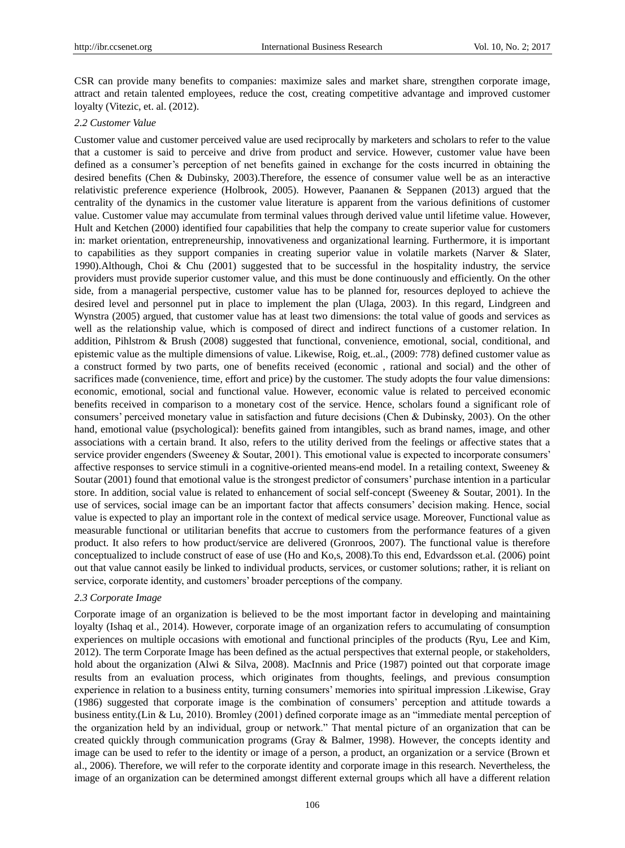CSR can provide many benefits to companies: maximize sales and market share, strengthen corporate image, attract and retain talented employees, reduce the cost, creating competitive advantage and improved customer loyalty (Vitezic, et. al. (2012).

# *2.2 Customer Value*

Customer value and customer perceived value are used reciprocally by marketers and scholars to refer to the value that a customer is said to perceive and drive from product and service. However, customer value have been defined as a consumer"s perception of net benefits gained in exchange for the costs incurred in obtaining the desired benefits (Chen & Dubinsky, 2003).Therefore, the essence of consumer value well be as an interactive relativistic preference experience (Holbrook, 2005). However, Paananen & Seppanen (2013) argued that the centrality of the dynamics in the customer value literature is apparent from the various definitions of customer value. Customer value may accumulate from terminal values through derived value until lifetime value. However, Hult and Ketchen (2000) identified four capabilities that help the company to create superior value for customers in: market orientation, entrepreneurship, innovativeness and organizational learning. Furthermore, it is important to capabilities as they support companies in creating superior value in volatile markets (Narver & Slater, 1990).Although, Choi & Chu (2001) suggested that to be successful in the hospitality industry, the service providers must provide superior customer value, and this must be done continuously and efficiently. On the other side, from a managerial perspective, customer value has to be planned for, resources deployed to achieve the desired level and personnel put in place to implement the plan (Ulaga, 2003). In this regard, Lindgreen and Wynstra (2005) argued, that customer value has at least two dimensions: the total value of goods and services as well as the relationship value, which is composed of direct and indirect functions of a customer relation. In addition, Pihlstrom & Brush (2008) suggested that functional, convenience, emotional, social, conditional, and epistemic value as the multiple dimensions of value. Likewise, Roig, et..al., (2009: 778) defined customer value as a construct formed by two parts, one of benefits received (economic , rational and social) and the other of sacrifices made (convenience, time, effort and price) by the customer. The study adopts the four value dimensions: economic, emotional, social and functional value. However, economic value is related to perceived economic benefits received in comparison to a monetary cost of the service. Hence, scholars found a significant role of consumers" perceived monetary value in satisfaction and future decisions (Chen & Dubinsky, 2003). On the other hand, emotional value (psychological): benefits gained from intangibles, such as brand names, image, and other associations with a certain brand. It also, refers to the utility derived from the feelings or affective states that a service provider engenders (Sweeney & Soutar, 2001). This emotional value is expected to incorporate consumers' affective responses to service stimuli in a cognitive-oriented means-end model. In a retailing context, Sweeney & Soutar (2001) found that emotional value is the strongest predictor of consumers" purchase intention in a particular store. In addition, social value is related to enhancement of social self-concept (Sweeney & Soutar, 2001). In the use of services, social image can be an important factor that affects consumers" decision making. Hence, social value is expected to play an important role in the context of medical service usage. Moreover, Functional value as measurable functional or utilitarian benefits that accrue to customers from the performance features of a given product. It also refers to how product/service are delivered (Gronroos, 2007). The functional value is therefore conceptualized to include construct of ease of use (Ho and Ko,s, 2008).To this end, Edvardsson et.al. (2006) point out that value cannot easily be linked to individual products, services, or customer solutions; rather, it is reliant on service, corporate identity, and customers" broader perceptions of the company.

# *2.3 Corporate Image*

Corporate image of an organization is believed to be the most important factor in developing and maintaining loyalty (Ishaq et al., 2014). However, corporate image of an organization refers to accumulating of consumption experiences on multiple occasions with emotional and functional principles of the products (Ryu, Lee and Kim, 2012). The term Corporate Image has been defined as the actual perspectives that external people, or stakeholders, hold about the organization (Alwi & Silva, 2008). MacInnis and Price (1987) pointed out that corporate image results from an evaluation process, which originates from thoughts, feelings, and previous consumption experience in relation to a business entity, turning consumers" memories into spiritual impression .Likewise, Gray (1986) suggested that corporate image is the combination of consumers" perception and attitude towards a business entity.(Lin & Lu, 2010). Bromley (2001) defined corporate image as an "immediate mental perception of the organization held by an individual, group or network." That mental picture of an organization that can be created quickly through communication programs (Gray & Balmer, 1998). However, the concepts identity and image can be used to refer to the identity or image of a person, a product, an organization or a service (Brown et al., 2006). Therefore, we will refer to the corporate identity and corporate image in this research. Nevertheless, the image of an organization can be determined amongst different external groups which all have a different relation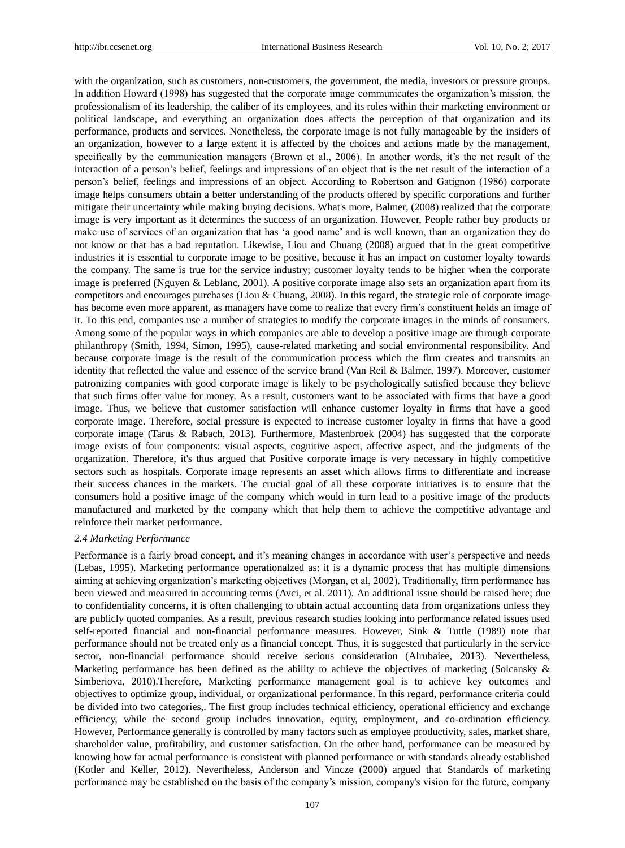with the organization, such as customers, non-customers, the government, the media, investors or pressure groups. In addition Howard (1998) has suggested that the corporate image communicates the organization's mission, the professionalism of its leadership, the caliber of its employees, and its roles within their marketing environment or political landscape, and everything an organization does affects the perception of that organization and its performance, products and services. Nonetheless, the corporate image is not fully manageable by the insiders of an organization, however to a large extent it is affected by the choices and actions made by the management, specifically by the communication managers (Brown et al., 2006). In another words, it's the net result of the interaction of a person"s belief, feelings and impressions of an object that is the net result of the interaction of a person"s belief, feelings and impressions of an object. According to Robertson and Gatignon (1986) corporate image helps consumers obtain a better understanding of the products offered by specific corporations and further mitigate their uncertainty while making buying decisions. What's more, Balmer, (2008) realized that the corporate image is very important as it determines the success of an organization. However, People rather buy products or make use of services of an organization that has "a good name" and is well known, than an organization they do not know or that has a bad reputation. Likewise, Liou and Chuang (2008) argued that in the great competitive industries it is essential to corporate image to be positive, because it has an impact on customer loyalty towards the company. The same is true for the service industry; customer loyalty tends to be higher when the corporate image is preferred (Nguyen & Leblanc, 2001). A positive corporate image also sets an organization apart from its competitors and encourages purchases (Liou & Chuang, 2008). In this regard, the strategic role of corporate image has become even more apparent, as managers have come to realize that every firm"s constituent holds an image of it. To this end, companies use a number of strategies to modify the corporate images in the minds of consumers. Among some of the popular ways in which companies are able to develop a positive image are through corporate philanthropy (Smith, 1994, Simon, 1995), cause-related marketing and social environmental responsibility. And because corporate image is the result of the communication process which the firm creates and transmits an identity that reflected the value and essence of the service brand (Van Reil & Balmer, 1997). Moreover, customer patronizing companies with good corporate image is likely to be psychologically satisfied because they believe that such firms offer value for money. As a result, customers want to be associated with firms that have a good image. Thus, we believe that customer satisfaction will enhance customer loyalty in firms that have a good corporate image. Therefore, social pressure is expected to increase customer loyalty in firms that have a good corporate image (Tarus & Rabach, 2013). Furthermore, Mastenbroek (2004) has suggested that the corporate image exists of four components: visual aspects, cognitive aspect, affective aspect, and the judgments of the organization. Therefore, it's thus argued that Positive corporate image is very necessary in highly competitive sectors such as hospitals. Corporate image represents an asset which allows firms to differentiate and increase their success chances in the markets. The crucial goal of all these corporate initiatives is to ensure that the consumers hold a positive image of the company which would in turn lead to a positive image of the products manufactured and marketed by the company which that help them to achieve the competitive advantage and reinforce their market performance.

#### *2.4 Marketing Performance*

Performance is a fairly broad concept, and it's meaning changes in accordance with user's perspective and needs (Lebas, 1995). Marketing performance operationalzed as: it is a dynamic process that has multiple dimensions aiming at achieving organization"s marketing objectives (Morgan, et al, 2002). Traditionally, firm performance has been viewed and measured in accounting terms (Avci, et al. 2011). An additional issue should be raised here; due to confidentiality concerns, it is often challenging to obtain actual accounting data from organizations unless they are publicly quoted companies. As a result, previous research studies looking into performance related issues used self-reported financial and non-financial performance measures. However, Sink & Tuttle (1989) note that performance should not be treated only as a financial concept. Thus, it is suggested that particularly in the service sector, non-financial performance should receive serious consideration (Alrubaiee, 2013). Nevertheless, Marketing performance has been defined as the ability to achieve the objectives of marketing (Solcansky & Simberiova, 2010).Therefore, Marketing performance management goal is to achieve key outcomes and objectives to optimize group, individual, or organizational performance. In this regard, performance criteria could be divided into two categories,. The first group includes technical efficiency, operational efficiency and exchange efficiency, while the second group includes innovation, equity, employment, and co-ordination efficiency. However, Performance generally is controlled by many factors such as employee productivity, sales, market share, shareholder value, profitability, and customer satisfaction. On the other hand, performance can be measured by knowing how far actual performance is consistent with planned performance or with standards already established (Kotler and Keller, 2012). Nevertheless, Anderson and Vincze (2000) argued that Standards of marketing performance may be established on the basis of the company"s mission, company's vision for the future, company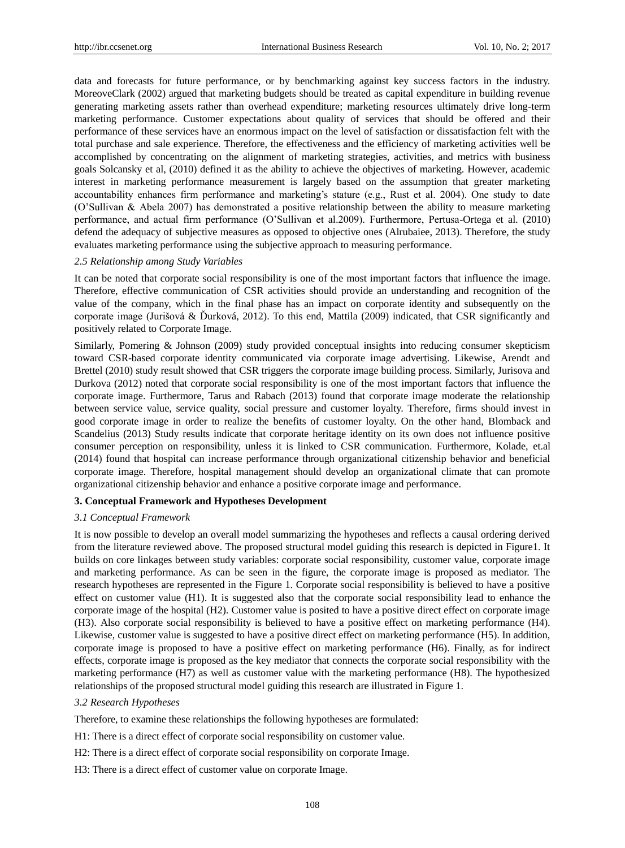data and forecasts for future performance, or by benchmarking against key success factors in the industry. MoreoveClark (2002) argued that marketing budgets should be treated as capital expenditure in building revenue generating marketing assets rather than overhead expenditure; marketing resources ultimately drive long-term marketing performance. Customer expectations about quality of services that should be offered and their performance of these services have an enormous impact on the level of satisfaction or dissatisfaction felt with the total purchase and sale experience. Therefore, the effectiveness and the efficiency of marketing activities well be accomplished by concentrating on the alignment of marketing strategies, activities, and metrics with business goals Solcansky et al, (2010) defined it as the ability to achieve the objectives of marketing. However, academic interest in marketing performance measurement is largely based on the assumption that greater marketing accountability enhances firm performance and marketing's stature (e.g., Rust et al. 2004). One study to date (O"Sullivan & Abela 2007) has demonstrated a positive relationship between the ability to measure marketing performance, and actual firm performance (O"Sullivan et al.2009). Furthermore, Pertusa-Ortega et al. (2010) defend the adequacy of subjective measures as opposed to objective ones (Alrubaiee, 2013). Therefore, the study evaluates marketing performance using the subjective approach to measuring performance.

#### *2.5 Relationship among Study Variables*

It can be noted that corporate social responsibility is one of the most important factors that influence the image. Therefore, effective communication of CSR activities should provide an understanding and recognition of the value of the company, which in the final phase has an impact on corporate identity and subsequently on the corporate image (Jurišová & Ďurková, 2012). To this end, Mattila (2009) indicated, that CSR significantly and positively related to Corporate Image.

Similarly, Pomering & Johnson (2009) study provided conceptual insights into reducing consumer skepticism toward CSR-based corporate identity communicated via corporate image advertising. Likewise, Arendt and Brettel (2010) study result showed that CSR triggers the corporate image building process. Similarly, Jurisova and Durkova (2012) noted that corporate social responsibility is one of the most important factors that influence the corporate image. Furthermore, Tarus and Rabach (2013) found that corporate image moderate the relationship between service value, service quality, social pressure and customer loyalty. Therefore, firms should invest in good corporate image in order to realize the benefits of customer loyalty. On the other hand, [Blomback](http://www.emeraldinsight.com/action/doSearch?ContribStored=Blomb%C3%A4ck%2C+A) and [Scandelius](http://www.emeraldinsight.com/action/doSearch?ContribStored=Scandelius%2C+C) (2013) Study results indicate that corporate heritage identity on its own does not influence positive consumer perception on responsibility, unless it is linked to CSR communication. Furthermore, Kolade, et.al (2014) found that hospital can increase performance through organizational citizenship behavior and beneficial corporate image. Therefore, hospital management should develop an organizational climate that can promote organizational citizenship behavior and enhance a positive corporate image and performance.

# **3. Conceptual Framework and Hypotheses Development**

# *3.1 Conceptual Framework*

It is now possible to develop an overall model summarizing the hypotheses and reflects a causal ordering derived from the literature reviewed above. The proposed structural model guiding this research is depicted in Figure1. It builds on core linkages between study variables: corporate social responsibility, customer value, corporate image and marketing performance. As can be seen in the figure, the corporate image is proposed as mediator. The research hypotheses are represented in the Figure 1. Corporate social responsibility is believed to have a positive effect on customer value (H1). It is suggested also that the corporate social responsibility lead to enhance the corporate image of the hospital (H2). Customer value is posited to have a positive direct effect on corporate image (H3). Also corporate social responsibility is believed to have a positive effect on marketing performance (H4). Likewise, customer value is suggested to have a positive direct effect on marketing performance (H5). In addition, corporate image is proposed to have a positive effect on marketing performance (H6). Finally, as for indirect effects, corporate image is proposed as the key mediator that connects the corporate social responsibility with the marketing performance (H7) as well as customer value with the marketing performance (H8). The hypothesized relationships of the proposed structural model guiding this research are illustrated in Figure 1.

# *3.2 Research Hypotheses*

Therefore, to examine these relationships the following hypotheses are formulated:

H1: There is a direct effect of corporate social responsibility on customer value.

- H2: There is a direct effect of corporate social responsibility on corporate Image.
- H3: There is a direct effect of customer value on corporate Image.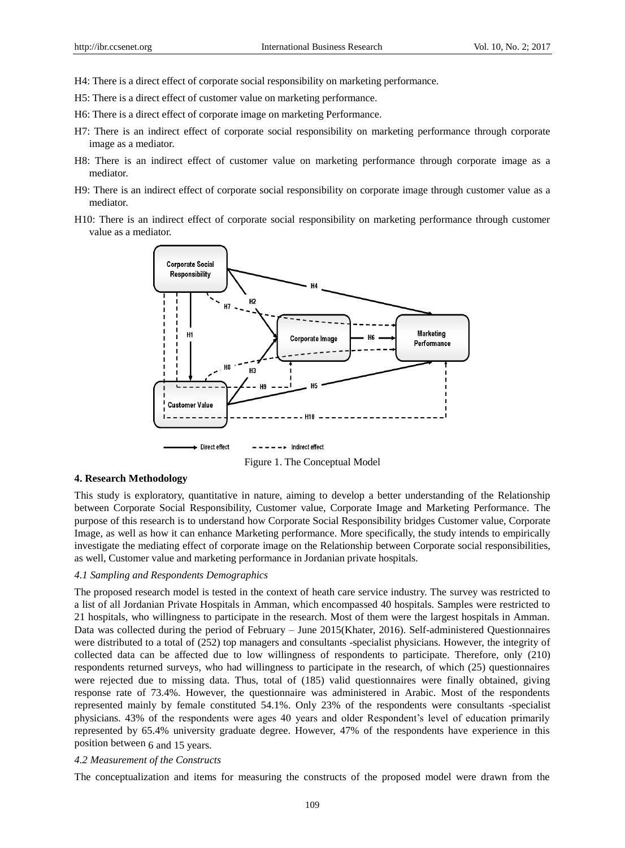H4: There is a direct effect of corporate social responsibility on marketing performance.

- H5: There is a direct effect of customer value on marketing performance.
- H6: There is a direct effect of corporate image on marketing Performance.
- H7: There is an indirect effect of corporate social responsibility on marketing performance through corporate image as a mediator.
- H8: There is an indirect effect of customer value on marketing performance through corporate image as a mediator.
- H9: There is an indirect effect of corporate social responsibility on corporate image through customer value as a mediator.
- H10: There is an indirect effect of corporate social responsibility on marketing performance through customer value as a mediator.



Figure 1. The Conceptual Model

# **4. Research Methodology**

This study is exploratory, quantitative in nature, aiming to develop a better understanding of the Relationship between Corporate Social Responsibility, Customer value, Corporate Image and Marketing Performance. The purpose of this research is to understand how Corporate Social Responsibility bridges Customer value, Corporate Image, as well as how it can enhance Marketing performance. More specifically, the study intends to empirically investigate the mediating effect of corporate image on the Relationship between Corporate social responsibilities, as well, Customer value and marketing performance in Jordanian private hospitals.

# *4.1 Sampling and Respondents Demographics*

The proposed research model is tested in the context of heath care service industry. The survey was restricted to a list of all Jordanian Private Hospitals in Amman, which encompassed 40 hospitals. Samples were restricted to 21 hospitals, who willingness to participate in the research. Most of them were the largest hospitals in Amman. Data was collected during the period of February – June 2015(Khater, 2016). Self-administered Questionnaires were distributed to a total of (252) top managers and consultants -specialist physicians. However, the integrity of collected data can be affected due to low willingness of respondents to participate. Therefore, only (210) respondents returned surveys, who had willingness to participate in the research, of which (25) questionnaires were rejected due to missing data. Thus, total of (185) valid questionnaires were finally obtained, giving response rate of 73.4%. However, the questionnaire was administered in Arabic. Most of the respondents represented mainly by female constituted 54.1%. Only 23% of the respondents were consultants -specialist physicians. 43% of the respondents were ages 40 years and older Respondent"s level of education primarily represented by 65.4% university graduate degree. However, 47% of the respondents have experience in this position between 6 and 15 years.

#### *4.2 Measurement of the Constructs*

The conceptualization and items for measuring the constructs of the proposed model were drawn from the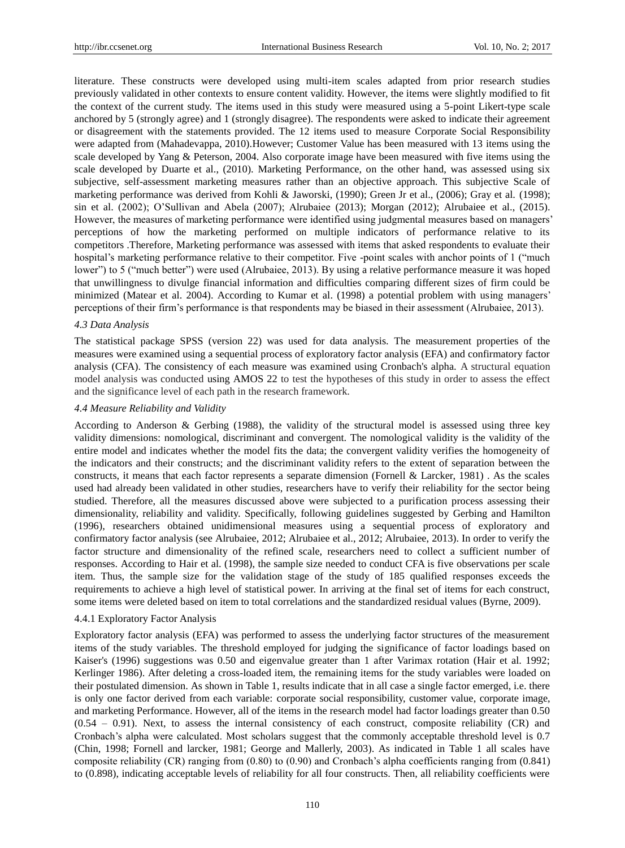literature. These constructs were developed using multi-item scales adapted from prior research studies previously validated in other contexts to ensure content validity. However, the items were slightly modified to fit the context of the current study. The items used in this study were measured using a 5-point Likert-type scale anchored by 5 (strongly agree) and 1 (strongly disagree). The respondents were asked to indicate their agreement or disagreement with the statements provided. The 12 items used to measure Corporate Social Responsibility were adapted from (Mahadevappa, 2010).However; Customer Value has been measured with 13 items using the scale developed by Yang & Peterson, 2004. Also corporate image have been measured with five items using the scale developed by Duarte et al., (2010). Marketing Performance, on the other hand, was assessed using six subjective, self-assessment marketing measures rather than an objective approach. This subjective Scale of marketing performance was derived from Kohli & Jaworski, (1990); Green Jr et al., (2006); Gray et al. (1998); sin et al. (2002); O"Sullivan and Abela (2007); Alrubaiee (2013); Morgan (2012); Alrubaiee et al., (2015). However, the measures of marketing performance were identified using judgmental measures based on managers" perceptions of how the marketing performed on multiple indicators of performance relative to its competitors .Therefore, Marketing performance was assessed with items that asked respondents to evaluate their hospital's marketing performance relative to their competitor. Five -point scales with anchor points of 1 ("much lower") to 5 ("much better") were used (Alrubaiee, 2013). By using a relative performance measure it was hoped that unwillingness to divulge financial information and difficulties comparing different sizes of firm could be minimized (Matear et al. 2004). According to Kumar et al. (1998) a potential problem with using managers" perceptions of their firm"s performance is that respondents may be biased in their assessment (Alrubaiee, 2013).

# *4.3 Data Analysis*

The statistical package SPSS (version 22) was used for data analysis. The measurement properties of the measures were examined using a sequential process of exploratory factor analysis (EFA) and confirmatory factor analysis (CFA). The consistency of each measure was examined using Cronbach's alpha. A structural equation model analysis was conducted using AMOS 22 to test the hypotheses of this study in order to assess the effect and the significance level of each path in the research framework.

# *4.4 Measure Reliability and Validity*

According to Anderson & Gerbing (1988), the validity of the structural model is assessed using three key validity dimensions: nomological, discriminant and convergent. The nomological validity is the validity of the entire model and indicates whether the model fits the data; the convergent validity verifies the homogeneity of the indicators and their constructs; and the discriminant validity refers to the extent of separation between the constructs, it means that each factor represents a separate dimension (Fornell & Larcker, 1981) . As the scales used had already been validated in other studies, researchers have to verify their reliability for the sector being studied. Therefore, all the measures discussed above were subjected to a purification process assessing their dimensionality, reliability and validity. Specifically, following guidelines suggested by Gerbing and Hamilton (1996), researchers obtained unidimensional measures using a sequential process of exploratory and confirmatory factor analysis (see Alrubaiee, 2012; Alrubaiee et al., 2012; Alrubaiee, 2013). In order to verify the factor structure and dimensionality of the refined scale, researchers need to collect a sufficient number of responses. According to Hair et al. (1998), the sample size needed to conduct CFA is five observations per scale item. Thus, the sample size for the validation stage of the study of 185 qualified responses exceeds the requirements to achieve a high level of statistical power. In arriving at the final set of items for each construct, some items were deleted based on item to total correlations and the standardized residual values (Byrne, 2009).

# 4.4.1 Exploratory Factor Analysis

Exploratory factor analysis (EFA) was performed to assess the underlying factor structures of the measurement items of the study variables. The threshold employed for judging the significance of factor loadings based on Kaiser's (1996) suggestions was 0.50 and eigenvalue greater than 1 after Varimax rotation (Hair et al. 1992; Kerlinger 1986). After deleting a cross-loaded item, the remaining items for the study variables were loaded on their postulated dimension. As shown in Table 1, results indicate that in all case a single factor emerged, i.e. there is only one factor derived from each variable: corporate social responsibility, customer value, corporate image, and marketing Performance. However, all of the items in the research model had factor loadings greater than 0.50 (0.54 – 0.91). Next, to assess the internal consistency of each construct, composite reliability (CR) and Cronbach"s alpha were calculated. Most scholars suggest that the commonly acceptable threshold level is 0.7 (Chin, 1998; Fornell and larcker, 1981; George and Mallerly, 2003). As indicated in Table 1 all scales have composite reliability (CR) ranging from (0.80) to (0.90) and Cronbach"s alpha coefficients ranging from (0.841) to (0.898), indicating acceptable levels of reliability for all four constructs. Then, all reliability coefficients were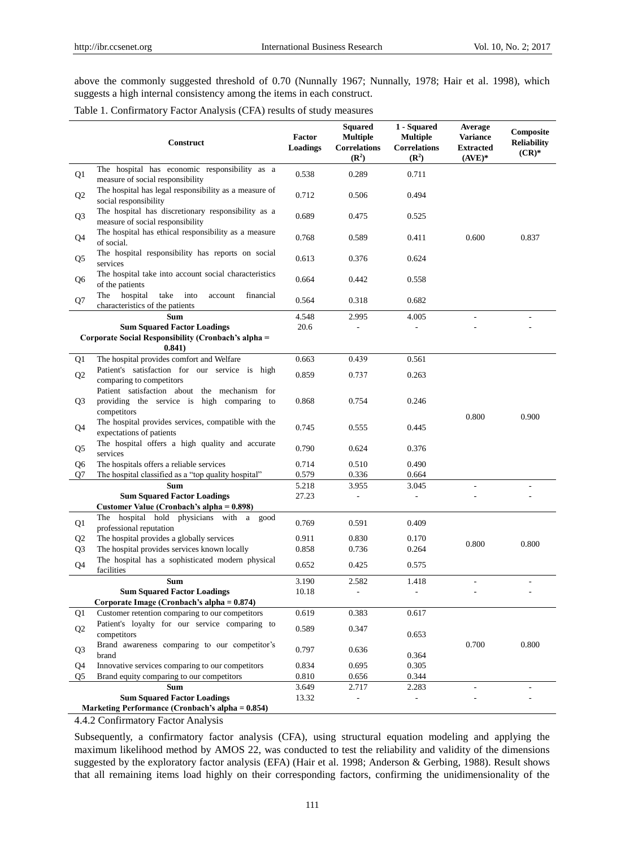above the commonly suggested threshold of 0.70 (Nunnally 1967; Nunnally, 1978; Hair et al. 1998), which suggests a high internal consistency among the items in each construct.

Table 1. Confirmatory Factor Analysis (CFA) results of study measures

|                | Construct                                                                                  | Factor<br><b>Loadings</b> | <b>Squared</b><br><b>Multiple</b><br><b>Correlations</b><br>$(\mathbb{R}^2)$ | 1 - Squared<br><b>Multiple</b><br><b>Correlations</b><br>$(\mathbb{R}^2)$ | Average<br>Variance<br><b>Extracted</b><br>$(AVE)*$ | Composite<br><b>Reliability</b><br>$(CR)^*$ |
|----------------|--------------------------------------------------------------------------------------------|---------------------------|------------------------------------------------------------------------------|---------------------------------------------------------------------------|-----------------------------------------------------|---------------------------------------------|
| Q1             | The hospital has economic responsibility as a<br>measure of social responsibility          |                           | 0.289                                                                        | 0.711                                                                     |                                                     |                                             |
| Q2             | The hospital has legal responsibility as a measure of<br>social responsibility             |                           | 0.506                                                                        | 0.494                                                                     |                                                     |                                             |
| Q <sub>3</sub> | The hospital has discretionary responsibility as a<br>measure of social responsibility     |                           | 0.475                                                                        | 0.525                                                                     |                                                     |                                             |
| Q4             | The hospital has ethical responsibility as a measure<br>of social.                         |                           | 0.589                                                                        | 0.411                                                                     | 0.600                                               | 0.837                                       |
| Q <sub>5</sub> | The hospital responsibility has reports on social<br>services                              |                           | 0.376                                                                        | 0.624                                                                     |                                                     |                                             |
| Q6             | The hospital take into account social characteristics<br>of the patients                   |                           | 0.442                                                                        | 0.558                                                                     |                                                     |                                             |
| Q7             | The hospital<br>take<br>into<br>account<br>financial<br>characteristics of the patients    | 0.564                     | 0.318                                                                        | 0.682                                                                     |                                                     |                                             |
|                | <b>Sum</b>                                                                                 | 4.548                     | 2.995                                                                        | 4.005                                                                     |                                                     |                                             |
|                | <b>Sum Squared Factor Loadings</b>                                                         | 20.6                      |                                                                              |                                                                           |                                                     |                                             |
|                | Corporate Social Responsibility (Cronbach's alpha =<br>0.841)                              |                           |                                                                              |                                                                           |                                                     |                                             |
| Q1             | The hospital provides comfort and Welfare                                                  | 0.663                     | 0.439                                                                        | 0.561                                                                     |                                                     |                                             |
| Q2             | Patient's satisfaction for our service is high<br>comparing to competitors                 | 0.859                     | 0.737                                                                        | 0.263                                                                     |                                                     |                                             |
| Q3             | Patient satisfaction about the mechanism for<br>providing the service is high comparing to | 0.868                     | 0.754                                                                        | 0.246                                                                     |                                                     |                                             |
|                | competitors                                                                                |                           |                                                                              |                                                                           |                                                     |                                             |
| Q4             | The hospital provides services, compatible with the<br>expectations of patients            | 0.745                     | 0.555                                                                        | 0.445                                                                     | 0.800                                               | 0.900                                       |
| Q5             | The hospital offers a high quality and accurate<br>services                                | 0.790                     | 0.624                                                                        | 0.376                                                                     |                                                     |                                             |
| Q <sub>6</sub> | The hospitals offers a reliable services                                                   | 0.714                     | 0.510                                                                        | 0.490                                                                     |                                                     |                                             |
| Q7             | The hospital classified as a "top quality hospital"                                        | 0.579                     | 0.336                                                                        | 0.664                                                                     |                                                     |                                             |
|                | <b>Sum</b>                                                                                 | 5.218                     | 3.955                                                                        | 3.045                                                                     |                                                     |                                             |
|                | <b>Sum Squared Factor Loadings</b>                                                         | 27.23                     | $\overline{\phantom{a}}$                                                     | L,                                                                        |                                                     |                                             |
|                | Customer Value (Cronbach's alpha = 0.898)                                                  |                           |                                                                              |                                                                           |                                                     |                                             |
| Q1             | The hospital hold physicians with a good<br>professional reputation                        | 0.769                     | 0.591                                                                        | 0.409                                                                     |                                                     |                                             |
| Q <sub>2</sub> | The hospital provides a globally services                                                  | 0.911                     | 0.830                                                                        | 0.170                                                                     |                                                     |                                             |
| Q <sub>3</sub> | The hospital provides services known locally                                               | 0.858                     | 0.736                                                                        | 0.264                                                                     | 0.800                                               | 0.800                                       |
| Q4             | The hospital has a sophisticated modern physical                                           | 0.652                     | 0.425                                                                        | 0.575                                                                     |                                                     |                                             |
|                | facilities                                                                                 |                           |                                                                              |                                                                           |                                                     |                                             |
|                | <b>Sum</b>                                                                                 | 3.190                     | 2.582                                                                        | 1.418                                                                     |                                                     |                                             |
|                | <b>Sum Squared Factor Loadings</b>                                                         | 10.18                     |                                                                              |                                                                           |                                                     |                                             |
|                | Corporate Image (Cronbach's alpha $= 0.874$ )                                              |                           |                                                                              |                                                                           |                                                     |                                             |
| Q1             | Customer retention comparing to our competitors                                            | 0.619                     | 0.383                                                                        | 0.617                                                                     |                                                     |                                             |
| Q <sub>2</sub> | Patient's loyalty for our service comparing to<br>competitors                              | 0.589                     | 0.347                                                                        | 0.653                                                                     |                                                     |                                             |
| Q3             | Brand awareness comparing to our competitor's<br>brand                                     | 0.797                     | 0.636                                                                        | 0.364                                                                     | 0.700                                               | 0.800                                       |
| Q4             | Innovative services comparing to our competitors                                           | 0.834                     | 0.695                                                                        | 0.305                                                                     |                                                     |                                             |
| Q5             | Brand equity comparing to our competitors                                                  | 0.810                     | 0.656                                                                        | 0.344                                                                     |                                                     |                                             |
|                | Sum                                                                                        | 3.649                     | 2.717                                                                        | 2.283                                                                     |                                                     |                                             |
|                | <b>Sum Squared Factor Loadings</b><br>Marketing Performance (Cronbach's alpha = 0.854)     | 13.32                     |                                                                              |                                                                           |                                                     |                                             |
|                |                                                                                            |                           |                                                                              |                                                                           |                                                     |                                             |

4.4.2 Confirmatory Factor Analysis

Subsequently, a confirmatory factor analysis (CFA), using structural equation modeling and applying the maximum likelihood method by AMOS 22, was conducted to test the reliability and validity of the dimensions suggested by the exploratory factor analysis (EFA) (Hair et al. 1998; Anderson & Gerbing, 1988). Result shows that all remaining items load highly on their corresponding factors, confirming the unidimensionality of the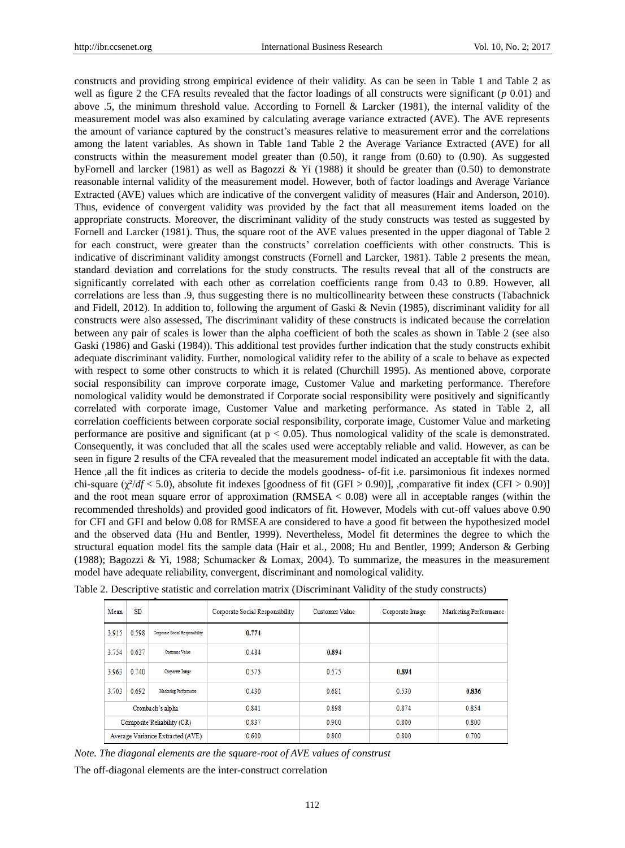constructs and providing strong empirical evidence of their validity. As can be seen in Table 1 and Table 2 as well as figure 2 the CFA results revealed that the factor loadings of all constructs were significant (*p* 0.01) and above .5, the minimum threshold value. According to Fornell & Larcker (1981), the internal validity of the measurement model was also examined by calculating average variance extracted (AVE). The AVE represents the amount of variance captured by the construct's measures relative to measurement error and the correlations among the latent variables. As shown in Table 1and Table 2 the Average Variance Extracted (AVE) for all constructs within the measurement model greater than  $(0.50)$ , it range from  $(0.60)$  to  $(0.90)$ . As suggested byFornell and larcker (1981) as well as Bagozzi & Yi (1988) it should be greater than (0.50) to demonstrate reasonable internal validity of the measurement model. However, both of factor loadings and Average Variance Extracted (AVE) values which are indicative of the convergent validity of measures (Hair and Anderson, 2010). Thus, evidence of convergent validity was provided by the fact that all measurement items loaded on the appropriate constructs. Moreover, the discriminant validity of the study constructs was tested as suggested by Fornell and Larcker (1981). Thus, the square root of the AVE values presented in the upper diagonal of Table 2 for each construct, were greater than the constructs' correlation coefficients with other constructs. This is indicative of discriminant validity amongst constructs (Fornell and Larcker, 1981). Table 2 presents the mean, standard deviation and correlations for the study constructs. The results reveal that all of the constructs are significantly correlated with each other as correlation coefficients range from 0.43 to 0.89. However, all correlations are less than .9, thus suggesting there is no multicollinearity between these constructs (Tabachnick and Fidell, 2012). In addition to, following the argument of Gaski & Nevin (1985), discriminant validity for all constructs were also assessed, The discriminant validity of these constructs is indicated because the correlation between any pair of scales is lower than the alpha coefficient of both the scales as shown in Table 2 (see also Gaski (1986) and Gaski (1984)). This additional test provides further indication that the study constructs exhibit adequate discriminant validity. Further, nomological validity refer to the ability of a scale to behave as expected with respect to some other constructs to which it is related (Churchill 1995). As mentioned above, corporate social responsibility can improve corporate image, Customer Value and marketing performance. Therefore nomological validity would be demonstrated if Corporate social responsibility were positively and significantly correlated with corporate image, Customer Value and marketing performance. As stated in Table 2, all correlation coefficients between corporate social responsibility, corporate image, Customer Value and marketing performance are positive and significant (at  $p < 0.05$ ). Thus nomological validity of the scale is demonstrated. Consequently, it was concluded that all the scales used were acceptably reliable and valid. However, as can be seen in figure 2 results of the CFA revealed that the measurement model indicated an acceptable fit with the data. Hence ,all the fit indices as criteria to decide the models goodness- of-fit i.e. parsimonious fit indexes normed chi-square  $(\chi^2/df < 5.0)$ , absolute fit indexes [goodness of fit (GFI > 0.90)], ,comparative fit index (CFI > 0.90)] and the root mean square error of approximation  $(RMSEA < 0.08)$  were all in acceptable ranges (within the recommended thresholds) and provided good indicators of fit. However, Models with cut-off values above 0.90 for CFI and GFI and below 0.08 for RMSEA are considered to have a good fit between the hypothesized model and the observed data (Hu and Bentler, 1999). Nevertheless, Model fit determines the degree to which the structural equation model fits the sample data (Hair et al., 2008; Hu and Bentler, 1999; Anderson & Gerbing (1988); Bagozzi & Yi, 1988; Schumacker & Lomax, 2004). To summarize, the measures in the measurement model have adequate reliability, convergent, discriminant and nomological validity.

| Mean                             | SD    |                                 | <b>Service</b><br>Corporate Social Responsibility | <b>Customer Value</b> | Corporate Image | <b>Marketing Performance</b> |
|----------------------------------|-------|---------------------------------|---------------------------------------------------|-----------------------|-----------------|------------------------------|
| 3.915                            | 0.598 | Corporate Social Responsibility | 0.774                                             |                       |                 |                              |
| 3.754                            | 0.637 | Customer Value                  | 0.484                                             | 0.894                 |                 |                              |
| 3.963                            | 0.740 | Corporate Image                 | 0.575                                             | 0.575                 | 0.894           |                              |
| 3.703                            | 0.692 | Marketing Performance           | 0.430                                             | 0.681                 | 0.530           | 0.836                        |
| Cronbach's alpha                 |       |                                 | 0.841                                             | 0.898                 | 0.874           | 0.854                        |
| Composite Reliability (CR)       |       |                                 | 0.837                                             | 0.900                 | 0.800           | 0.800                        |
| Average Variance Extracted (AVE) |       |                                 | 0.600                                             | 0.800                 | 0.800           | 0.700                        |

Table 2. Descriptive statistic and correlation matrix (Discriminant Validity of the study constructs)

*Note. The diagonal elements are the square-root of AVE values of construst*

The off-diagonal elements are the inter-construct correlation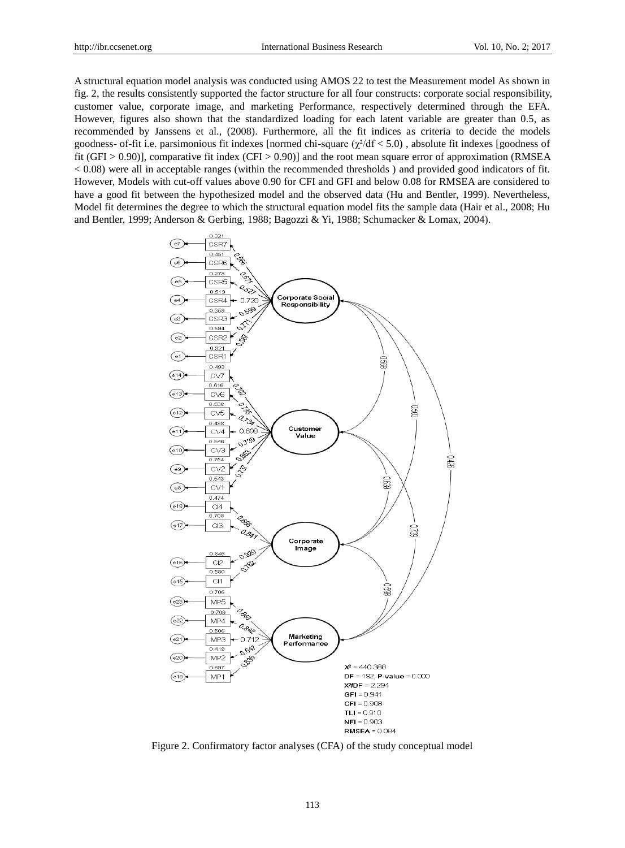A structural equation model analysis was conducted using AMOS 22 to test the Measurement model As shown in fig. 2, the results consistently supported the factor structure for all four constructs: corporate social responsibility, customer value, corporate image, and marketing Performance, respectively determined through the EFA. However, figures also shown that the standardized loading for each latent variable are greater than 0.5, as recommended by Janssens et al., (2008). Furthermore, all the fit indices as criteria to decide the models goodness- of-fit i.e. parsimonious fit indexes [normed chi-square  $(\chi^2/df < 5.0)$ , absolute fit indexes [goodness of fit (GFI > 0.90)], comparative fit index (CFI > 0.90)] and the root mean square error of approximation (RMSEA < 0.08) were all in acceptable ranges (within the recommended thresholds ) and provided good indicators of fit. However, Models with cut-off values above 0.90 for CFI and GFI and below 0.08 for RMSEA are considered to have a good fit between the hypothesized model and the observed data (Hu and Bentler, 1999). Nevertheless, Model fit determines the degree to which the structural equation model fits the sample data (Hair et al., 2008; Hu and Bentler, 1999; Anderson & Gerbing, 1988; Bagozzi & Yi, 1988; Schumacker & Lomax, 2004).



Figure 2. Confirmatory factor analyses (CFA) of the study conceptual model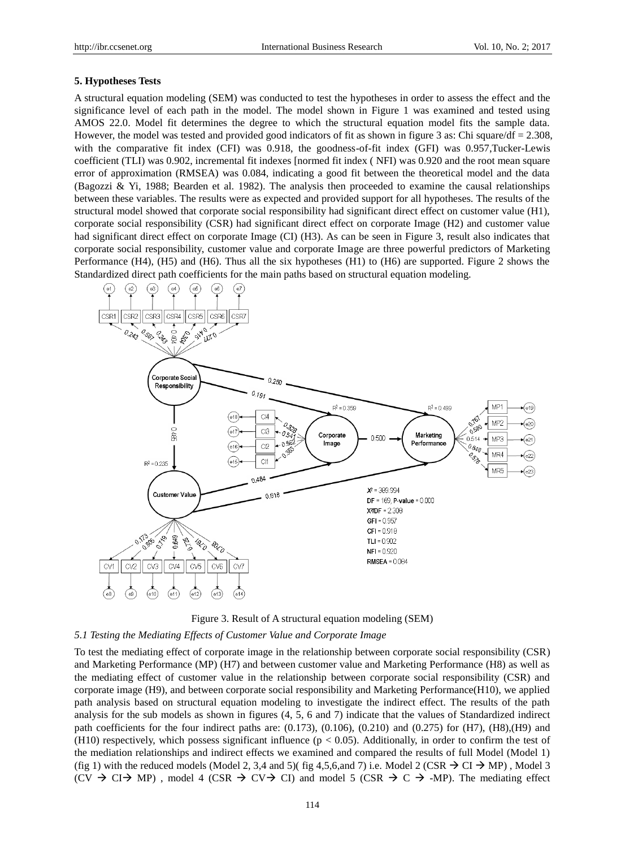# **5. Hypotheses Tests**

A structural equation modeling (SEM) was conducted to test the hypotheses in order to assess the effect and the significance level of each path in the model. The model shown in Figure 1 was examined and tested using AMOS 22.0. Model fit determines the degree to which the structural equation model fits the sample data. However, the model was tested and provided good indicators of fit as shown in figure 3 as: Chi square/df =  $2.308$ , with the comparative fit index (CFI) was 0.918, the goodness-of-fit index (GFI) was 0.957,Tucker-Lewis coefficient (TLI) was 0.902, incremental fit indexes [normed fit index ( NFI) was 0.920 and the root mean square error of approximation (RMSEA) was 0.084, indicating a good fit between the theoretical model and the data (Bagozzi & Yi, 1988; Bearden et al. 1982). The analysis then proceeded to examine the causal relationships between these variables. The results were as expected and provided support for all hypotheses. The results of the structural model showed that corporate social responsibility had significant direct effect on customer value (H1), corporate social responsibility (CSR) had significant direct effect on corporate Image (H2) and customer value had significant direct effect on corporate Image (CI) (H3). As can be seen in Figure 3, result also indicates that corporate social responsibility, customer value and corporate Image are three powerful predictors of Marketing Performance (H4), (H5) and (H6). Thus all the six hypotheses (H1) to (H6) are supported. Figure 2 shows the Standardized direct path coefficients for the main paths based on structural equation modeling.





# *5.1 Testing the Mediating Effects of Customer Value and Corporate Image*

To test the mediating effect of corporate image in the relationship between corporate social responsibility (CSR) and Marketing Performance (MP) (H7) and between customer value and Marketing Performance (H8) as well as the mediating effect of customer value in the relationship between corporate social responsibility (CSR) and corporate image (H9), and between corporate social responsibility and Marketing Performance(H10), we applied path analysis based on structural equation modeling to investigate the indirect effect. The results of the path analysis for the sub models as shown in figures (4, 5, 6 and 7) indicate that the values of Standardized indirect path coefficients for the four indirect paths are:  $(0.173)$ ,  $(0.106)$ ,  $(0.210)$  and  $(0.275)$  for  $(H7)$ ,  $(H8)$ , $(H9)$  and (H10) respectively, which possess significant influence ( $p < 0.05$ ). Additionally, in order to confirm the test of the mediation relationships and indirect effects we examined and compared the results of full Model (Model 1) (fig 1) with the reduced models (Model 2, 3,4 and 5)( fig 4,5,6,and 7) i.e. Model 2 (CSR  $\rightarrow$  CI  $\rightarrow$  MP), Model 3  $(CV \rightarrow CI \rightarrow MP)$ , model 4 (CSR  $\rightarrow CV \rightarrow CI$ ) and model 5 (CSR  $\rightarrow C \rightarrow MP$ ). The mediating effect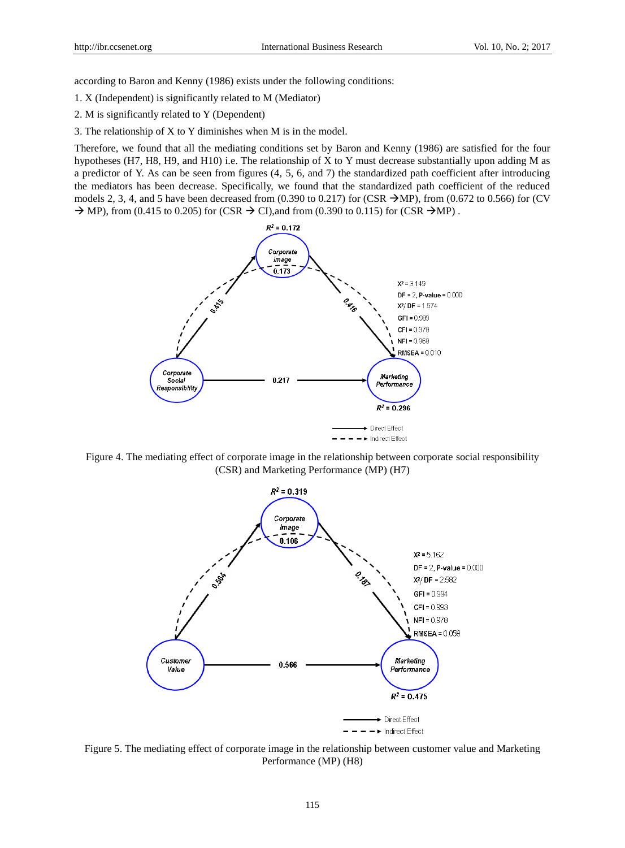according to Baron and Kenny (1986) exists under the following conditions:

- 1. X (Independent) is significantly related to M (Mediator)
- 2. M is significantly related to Y (Dependent)
- 3. The relationship of X to Y diminishes when M is in the model.

Therefore, we found that all the mediating conditions set by Baron and Kenny (1986) are satisfied for the four hypotheses (H7, H8, H9, and H10) i.e. The relationship of X to Y must decrease substantially upon adding M as a predictor of Y. As can be seen from figures (4, 5, 6, and 7) the standardized path coefficient after introducing the mediators has been decrease. Specifically, we found that the standardized path coefficient of the reduced models 2, 3, 4, and 5 have been decreased from  $(0.390 \text{ to } 0.217)$  for  $(CSR \rightarrow MP)$ , from  $(0.672 \text{ to } 0.566)$  for  $(CV)$  $\rightarrow$  MP), from (0.415 to 0.205) for (CSR  $\rightarrow$  CI),and from (0.390 to 0.115) for (CSR  $\rightarrow$  MP).



Figure 4. The mediating effect of corporate image in the relationship between corporate social responsibility (CSR) and Marketing Performance (MP) (H7)



Figure 5. The mediating effect of corporate image in the relationship between customer value and Marketing Performance (MP) (H8)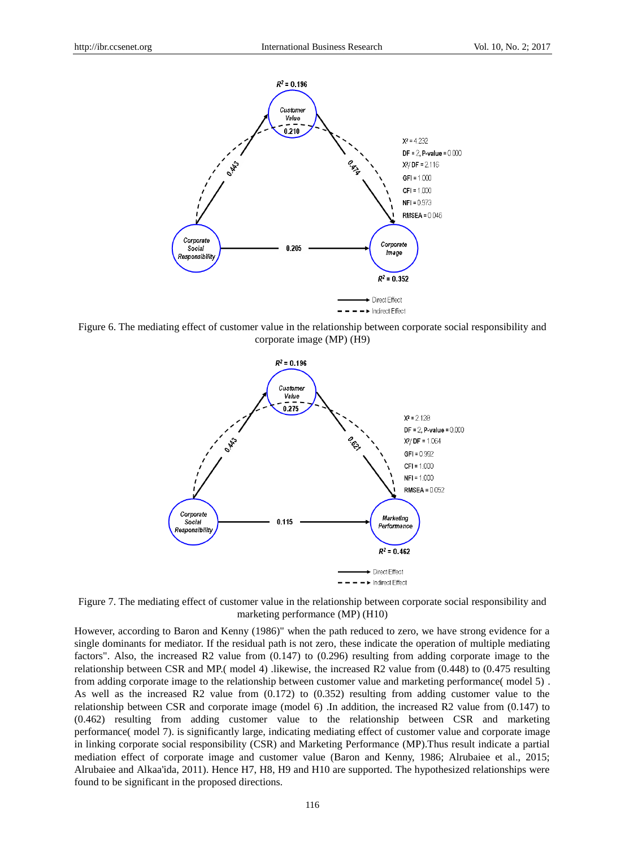

Figure 6. The mediating effect of customer value in the relationship between corporate social responsibility and corporate image (MP) (H9)



Figure 7. The mediating effect of customer value in the relationship between corporate social responsibility and marketing performance (MP) (H10)

However, according to Baron and Kenny (1986)" when the path reduced to zero, we have strong evidence for a single dominants for mediator. If the residual path is not zero, these indicate the operation of multiple mediating factors". Also, the increased R2 value from (0.147) to (0.296) resulting from adding corporate image to the relationship between CSR and MP.( model 4) .likewise, the increased R2 value from (0.448) to (0.475 resulting from adding corporate image to the relationship between customer value and marketing performance( model 5) . As well as the increased R2 value from (0.172) to (0.352) resulting from adding customer value to the relationship between CSR and corporate image (model 6) .In addition, the increased R2 value from (0.147) to (0.462) resulting from adding customer value to the relationship between CSR and marketing performance( model 7). is significantly large, indicating mediating effect of customer value and corporate image in linking corporate social responsibility (CSR) and Marketing Performance (MP).Thus result indicate a partial mediation effect of corporate image and customer value (Baron and Kenny, 1986; Alrubaiee et al., 2015; Alrubaiee and Alkaa'ida, 2011). Hence H7, H8, H9 and H10 are supported. The hypothesized relationships were found to be significant in the proposed directions.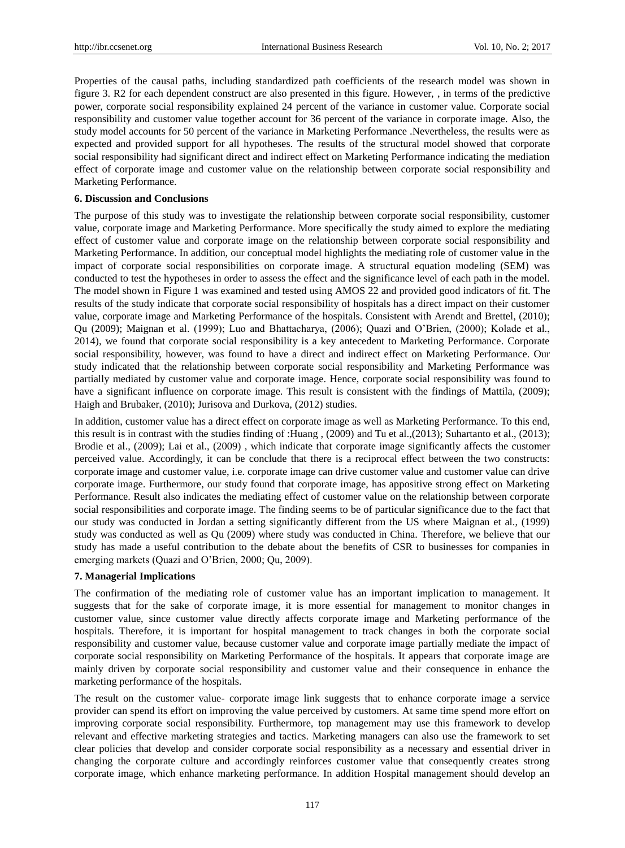Properties of the causal paths, including standardized path coefficients of the research model was shown in figure 3. R2 for each dependent construct are also presented in this figure. However, , in terms of the predictive power, corporate social responsibility explained 24 percent of the variance in customer value. Corporate social responsibility and customer value together account for 36 percent of the variance in corporate image. Also, the study model accounts for 50 percent of the variance in Marketing Performance .Nevertheless, the results were as expected and provided support for all hypotheses. The results of the structural model showed that corporate social responsibility had significant direct and indirect effect on Marketing Performance indicating the mediation effect of corporate image and customer value on the relationship between corporate social responsibility and Marketing Performance.

# **6. Discussion and Conclusions**

The purpose of this study was to investigate the relationship between corporate social responsibility, customer value, corporate image and Marketing Performance. More specifically the study aimed to explore the mediating effect of customer value and corporate image on the relationship between corporate social responsibility and Marketing Performance. In addition, our conceptual model highlights the mediating role of customer value in the impact of corporate social responsibilities on corporate image. A structural equation modeling (SEM) was conducted to test the hypotheses in order to assess the effect and the significance level of each path in the model. The model shown in Figure 1 was examined and tested using AMOS 22 and provided good indicators of fit. The results of the study indicate that corporate social responsibility of hospitals has a direct impact on their customer value, corporate image and Marketing Performance of the hospitals. Consistent with Arendt and Brettel, (2010); Qu (2009); Maignan et al. (1999); Luo and Bhattacharya, (2006); Quazi and O"Brien, (2000); Kolade et al., 2014), we found that corporate social responsibility is a key antecedent to Marketing Performance. Corporate social responsibility, however, was found to have a direct and indirect effect on Marketing Performance. Our study indicated that the relationship between corporate social responsibility and Marketing Performance was partially mediated by customer value and corporate image. Hence, corporate social responsibility was found to have a significant influence on corporate image. This result is consistent with the findings of Mattila, (2009); Haigh and Brubaker, (2010); Jurisova and Durkova, (2012) studies.

In addition, customer value has a direct effect on corporate image as well as Marketing Performance. To this end, this result is in contrast with the studies finding of :Huang , (2009) and Tu et al.,(2013); Suhartanto et al., (2013); Brodie et al., (2009); Lai et al., (2009) , which indicate that corporate image significantly affects the customer perceived value. Accordingly, it can be conclude that there is a reciprocal effect between the two constructs: corporate image and customer value, i.e. corporate image can drive customer value and customer value can drive corporate image. Furthermore, our study found that corporate image, has appositive strong effect on Marketing Performance. Result also indicates the mediating effect of customer value on the relationship between corporate social responsibilities and corporate image. The finding seems to be of particular significance due to the fact that our study was conducted in Jordan a setting significantly different from the US where Maignan et al., (1999) study was conducted as well as Qu (2009) where study was conducted in China. Therefore, we believe that our study has made a useful contribution to the debate about the benefits of CSR to businesses for companies in emerging markets (Quazi and O"Brien, 2000; Qu, 2009).

#### **7. Managerial Implications**

The confirmation of the mediating role of customer value has an important implication to management. It suggests that for the sake of corporate image, it is more essential for management to monitor changes in customer value, since customer value directly affects corporate image and Marketing performance of the hospitals. Therefore, it is important for hospital management to track changes in both the corporate social responsibility and customer value, because customer value and corporate image partially mediate the impact of corporate social responsibility on Marketing Performance of the hospitals. It appears that corporate image are mainly driven by corporate social responsibility and customer value and their consequence in enhance the marketing performance of the hospitals.

The result on the customer value- corporate image link suggests that to enhance corporate image a service provider can spend its effort on improving the value perceived by customers. At same time spend more effort on improving corporate social responsibility. Furthermore, top management may use this framework to develop relevant and effective marketing strategies and tactics. Marketing managers can also use the framework to set clear policies that develop and consider corporate social responsibility as a necessary and essential driver in changing the corporate culture and accordingly reinforces customer value that consequently creates strong corporate image, which enhance marketing performance. In addition Hospital management should develop an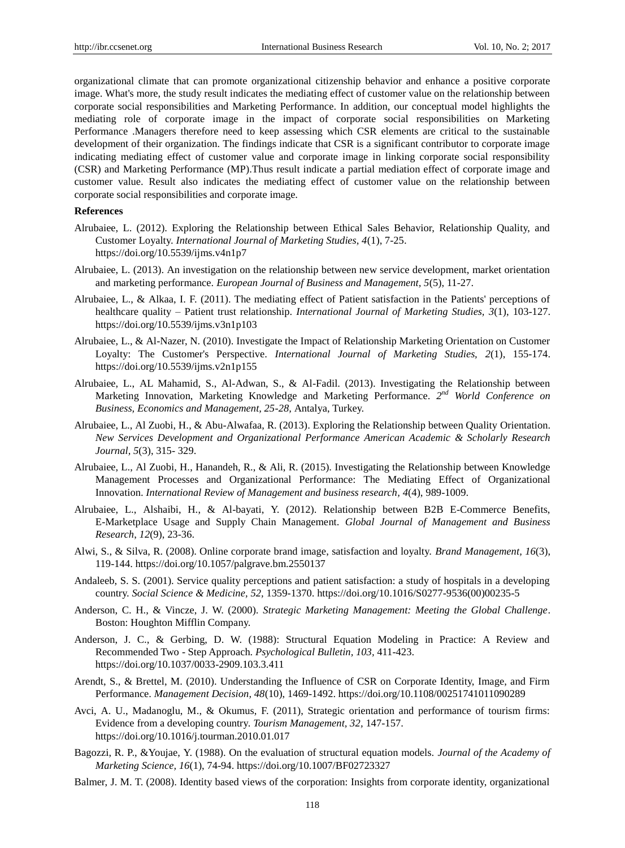organizational climate that can promote organizational citizenship behavior and enhance a positive corporate image. What's more, the study result indicates the mediating effect of customer value on the relationship between corporate social responsibilities and Marketing Performance. In addition, our conceptual model highlights the mediating role of corporate image in the impact of corporate social responsibilities on Marketing Performance .Managers therefore need to keep assessing which CSR elements are critical to the sustainable development of their organization. The findings indicate that CSR is a significant contributor to corporate image indicating mediating effect of customer value and corporate image in linking corporate social responsibility (CSR) and Marketing Performance (MP).Thus result indicate a partial mediation effect of corporate image and customer value. Result also indicates the mediating effect of customer value on the relationship between corporate social responsibilities and corporate image.

#### **References**

- Alrubaiee, L. (2012). Exploring the Relationship between Ethical Sales Behavior, Relationship Quality, and Customer Loyalty. *International Journal of Marketing Studies, 4*(1), 7-25. <https://doi.org/10.5539/ijms.v4n1p7>
- Alrubaiee, L. (2013). An investigation on the relationship between new service development, market orientation and marketing performance. *European Journal of Business and Management, 5*(5), 11-27.
- Alrubaiee, L., & Alkaa, I. F. (2011). The mediating effect of Patient satisfaction in the Patients' perceptions of healthcare quality – Patient trust relationship. *International Journal of Marketing Studies, 3*(1), 103-127. <https://doi.org/10.5539/ijms.v3n1p103>
- Alrubaiee, L., & Al-Nazer, N. (2010). Investigate the Impact of Relationship Marketing Orientation on Customer Loyalty: The Customer's Perspective. *International Journal of Marketing Studies, 2*(1), 155-174. <https://doi.org/10.5539/ijms.v2n1p155>
- Alrubaiee, L., AL Mahamid, S., Al-Adwan, S., & Al-Fadil. (2013). Investigating the Relationship between Marketing Innovation, Marketing Knowledge and Marketing Performance. 2<sup>nd</sup> World Conference on *Business, Economics and Management, 25-28,* Antalya, Turkey.
- Alrubaiee, L., Al Zuobi, H., & Abu-Alwafaa, R. (2013). Exploring the Relationship between Quality Orientation. *New Services Development and Organizational Performance American Academic & Scholarly Research Journal, 5*(3), 315- 329.
- Alrubaiee, L., Al Zuobi, H., Hanandeh, R., & Ali, R. (2015). Investigating the Relationship between Knowledge Management Processes and Organizational Performance: The Mediating Effect of Organizational Innovation. *International Review of Management and business research, 4*(4), 989-1009.
- Alrubaiee, L., Alshaibi, H., & Al-bayati, Y. (2012). Relationship between B2B E-Commerce Benefits, E-Marketplace Usage and Supply Chain Management. *Global Journal of Management and Business Research*, *12*(9), 23-36.
- Alwi, S., & Silva, R. (2008). Online corporate brand image, satisfaction and loyalty. *Brand Management, 16*(3), 119-144. <https://doi.org/10.1057/palgrave.bm.2550137>
- Andaleeb, S. S. (2001). Service quality perceptions and patient satisfaction: a study of hospitals in a developing country. *Social Science & Medicine, 52,* 1359-1370. [https://doi.org/10.1016/S0277-9536\(00\)00235-5](https://doi.org/10.1016/S0277-9536%2800%2900235-5)
- Anderson, C. H., & Vincze, J. W. (2000). *Strategic Marketing Management: Meeting the Global Challenge*. Boston: Houghton Mifflin Company.
- Anderson, J. C., & Gerbing, D. W. (1988): Structural Equation Modeling in Practice: A Review and Recommended Two - Step Approach. *Psychological Bulletin, 103,* 411-423. <https://doi.org/10.1037/0033-2909.103.3.411>
- Arendt, S., & Brettel, M. (2010). Understanding the Influence of CSR on Corporate Identity, Image, and Firm Performance. *Management Decision, 48*(10), 1469-1492. <https://doi.org/10.1108/00251741011090289>
- Avci, A. U., Madanoglu, M., & Okumus, F. (2011), Strategic orientation and performance of tourism firms: Evidence from a developing country. *Tourism Management, 32,* 147-157. <https://doi.org/10.1016/j.tourman.2010.01.017>
- Bagozzi, R. P., &Youjae, Y. (1988). On the evaluation of structural equation models. *Journal of the Academy of Marketing Science, 16*(1), 74-94. <https://doi.org/10.1007/BF02723327>
- Balmer, J. M. T. (2008). Identity based views of the corporation: Insights from corporate identity, organizational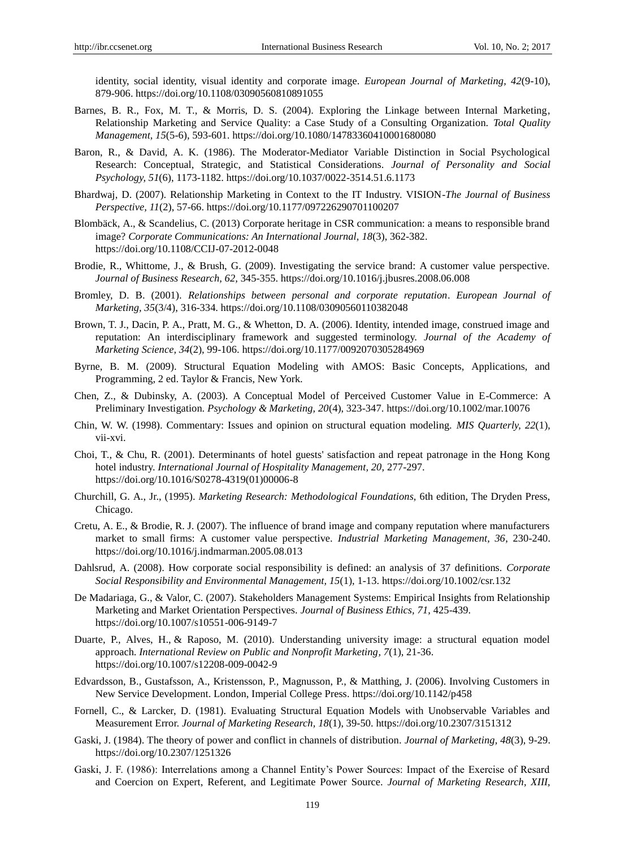identity, social identity, visual identity and corporate image. *European Journal of Marketing, 42*(9-10), 879-906. <https://doi.org/10.1108/03090560810891055>

- Barnes, B. R., Fox, M. T., & Morris, D. S. (2004). Exploring the Linkage between Internal Marketing, Relationship Marketing and Service Quality: a Case Study of a Consulting Organization. *Total Quality Management, 15*(5-6), 593-601. <https://doi.org/10.1080/14783360410001680080>
- Baron, R., & David, A. K. (1986). The Moderator-Mediator Variable Distinction in Social Psychological Research: Conceptual, Strategic, and Statistical Considerations. *Journal of Personality and Social Psychology, 51*(6), 1173-1182. <https://doi.org/10.1037/0022-3514.51.6.1173>
- Bhardwaj, D. (2007). Relationship Marketing in Context to the IT Industry. VISION-*The Journal of Business Perspective, 11*(2), 57-66. <https://doi.org/10.1177/097226290701100207>
- Blombäck, A., & Scandelius, C. (2013) Corporate heritage in CSR communication: a means to responsible brand image? *Corporate Communications: An International Journal, 18*(3), 362-382. <https://doi.org/10.1108/CCIJ-07-2012-0048>
- Brodie, R., Whittome, J., & Brush, G. (2009). Investigating the service brand: A customer value perspective. *Journal of Business Research, 62,* 345-355[. https://doi.org/10.1016/j.jbusres.2008.06.008](https://doi.org/10.1016/j.jbusres.2008.06.008)
- Bromley, D. B. (2001). *Relationships between personal and corporate reputation*. *European Journal of Marketing, 35*(3/4), 316-334. <https://doi.org/10.1108/03090560110382048>
- Brown, T. J., Dacin, P. A., Pratt, M. G., & Whetton, D. A. (2006). Identity, intended image, construed image and reputation: An interdisciplinary framework and suggested terminology. *Journal of the Academy of Marketing Science, 34*(2), 99-106. <https://doi.org/10.1177/0092070305284969>
- Byrne, B. M. (2009). Structural Equation Modeling with AMOS: Basic Concepts, Applications, and Programming, 2 ed. Taylor & Francis, New York.
- Chen, Z., & Dubinsky, A. (2003). A Conceptual Model of Perceived Customer Value in E-Commerce: A Preliminary Investigation. *Psychology & Marketing, 20*(4), 323-347. <https://doi.org/10.1002/mar.10076>
- Chin, W. W. (1998). Commentary: Issues and opinion on structural equation modeling. *MIS Quarterly, 22*(1), vii-xvi.
- Choi, T., & Chu, R. (2001). Determinants of hotel guests' satisfaction and repeat patronage in the Hong Kong hotel industry. *International Journal of Hospitality Management, 20,* 277-297. [https://doi.org/10.1016/S0278-4319\(01\)00006-8](https://doi.org/10.1016/S0278-4319%2801%2900006-8)
- Churchill, G. A., Jr., (1995). *Marketing Research: Methodological Foundations,* 6th edition, The Dryden Press, Chicago.
- Cretu, A. E., & Brodie, R. J. (2007). The influence of brand image and company reputation where manufacturers market to small firms: A customer value perspective. *Industrial Marketing Management, 36*, 230-240. <https://doi.org/10.1016/j.indmarman.2005.08.013>
- Dahlsrud, A. (2008). How corporate social responsibility is defined: an analysis of 37 definitions. *Corporate Social Responsibility and Environmental Management, 15*(1), 1-13.<https://doi.org/10.1002/csr.132>
- De Madariaga, G., & Valor, C. (2007). Stakeholders Management Systems: Empirical Insights from Relationship Marketing and Market Orientation Perspectives. *Journal of Business Ethics, 71,* 425-439. <https://doi.org/10.1007/s10551-006-9149-7>
- Duarte, P., Alves, H., & Raposo, M. (2010). Understanding university image: a structural equation model approach. *[International Review on Public and Nonprofit Marketing,](http://link.springer.com/journal/12208) 7*(1), 21-36. <https://doi.org/10.1007/s12208-009-0042-9>
- Edvardsson, B., Gustafsson, A., Kristensson, P., Magnusson, P., & Matthing, J. (2006). Involving Customers in New Service Development. London, Imperial College Press. <https://doi.org/10.1142/p458>
- Fornell, C., & Larcker, D. (1981). Evaluating Structural Equation Models with Unobservable Variables and Measurement Error. *Journal of Marketing Research, 18*(1), 39-50. <https://doi.org/10.2307/3151312>
- Gaski, J. (1984). The theory of power and conflict in channels of distribution*. Journal of Marketing, 48*(3), 9-29. <https://doi.org/10.2307/1251326>
- Gaski, J. F. (1986): Interrelations among a Channel Entity"s Power Sources: Impact of the Exercise of Resard and Coercion on Expert, Referent, and Legitimate Power Source. *Journal of Marketing Research, XIII,*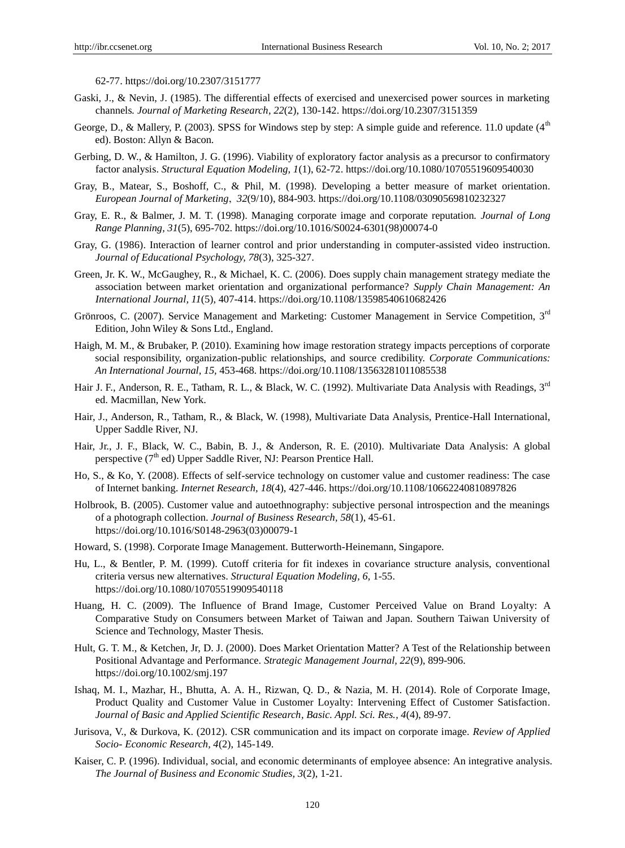62-77. <https://doi.org/10.2307/3151777>

- Gaski, J., & Nevin, J. (1985). The differential effects of exercised and unexercised power sources in marketing channels*. Journal of Marketing Research, 22*(2), 130-142. <https://doi.org/10.2307/3151359>
- George, D., & Mallery, P. (2003). SPSS for Windows step by step: A simple guide and reference. 11.0 update  $(4<sup>th</sup>$ ed). Boston: Allyn & Bacon.
- Gerbing, D. W., & Hamilton, J. G. (1996). Viability of exploratory factor analysis as a precursor to confirmatory factor analysis. *Structural Equation Modeling, 1*(1), 62-72. <https://doi.org/10.1080/10705519609540030>
- Gray, B., Matear, S., Boshoff, C., & Phil, M. (1998). Developing a better measure of market orientation. *European Journal of Marketing*, *32*(9/10), 884-903. <https://doi.org/10.1108/03090569810232327>
- Gray, E. R., & Balmer, J. M. T. (1998). Managing corporate image and corporate reputation. *Journal of Long Range Planning, 31*(5), 695-702. [https://doi.org/10.1016/S0024-6301\(98\)00074-0](https://doi.org/10.1016/S0024-6301%2898%2900074-0)
- Gray, G. (1986). Interaction of learner control and prior understanding in computer-assisted video instruction. *Journal of Educational Psychology, 78*(3), 325-327.
- Green, Jr. K. W., McGaughey, R., & Michael, K. C. (2006). Does supply chain management strategy mediate the association between market orientation and organizational performance? *Supply Chain Management: An International Journal, 11*(5), 407-414. <https://doi.org/10.1108/13598540610682426>
- Grönroos, C. (2007). Service Management and Marketing: Customer Management in Service Competition, 3rd Edition, John Wiley & Sons Ltd., England.
- Haigh, M. M., & Brubaker, P. (2010). Examining how image restoration strategy impacts perceptions of corporate social responsibility, organization-public relationships, and source credibility. *Corporate Communications: An International Journal, 15,* 453-468. <https://doi.org/10.1108/13563281011085538>
- Hair J. F., Anderson, R. E., Tatham, R. L., & Black, W. C. (1992). Multivariate Data Analysis with Readings, 3<sup>rd</sup> ed. Macmillan, New York.
- Hair, J., Anderson, R., Tatham, R., & Black, W. (1998), Multivariate Data Analysis, Prentice-Hall International, Upper Saddle River, NJ.
- Hair, Jr., J. F., Black, W. C., Babin, B. J., & Anderson, R. E. (2010). Multivariate Data Analysis: A global perspective  $(7<sup>th</sup>$  ed) Upper Saddle River, NJ: Pearson Prentice Hall.
- Ho, S., & Ko, Y. (2008). Effects of self-service technology on customer value and customer readiness: The case of Internet banking. *Internet Research, 18*(4), 427-446. <https://doi.org/10.1108/10662240810897826>
- Holbrook, B. (2005). Customer value and autoethnography: subjective personal introspection and the meanings of a photograph collection. *[Journal of Business Research,](http://www.sciencedirect.com/science/journal/01482963) 58*(1), 45-61. [https://doi.org/10.1016/S0148-2963\(03\)00079-1](https://doi.org/10.1016/S0148-2963%2803%2900079-1)
- Howard, S. (1998). Corporate Image Management. Butterworth-Heinemann, Singapore.
- Hu, L., & Bentler, P. M. (1999). Cutoff criteria for fit indexes in covariance structure analysis, conventional criteria versus new alternatives. *Structural Equation Modeling, 6,* 1-55. <https://doi.org/10.1080/10705519909540118>
- Huang, H. C. (2009). The Influence of Brand Image, Customer Perceived Value on Brand Loyalty: A Comparative Study on Consumers between Market of Taiwan and Japan. Southern Taiwan University of Science and Technology, Master Thesis.
- Hult, G. T. M., & Ketchen, Jr, D. J. (2000). Does Market Orientation Matter? A Test of the Relationship between Positional Advantage and Performance. *Strategic Management Journal, 22*(9), 899-906. <https://doi.org/10.1002/smj.197>
- Ishaq, M. I., Mazhar, H., Bhutta, A. A. H., Rizwan, Q. D., & Nazia, M. H. (2014). Role of Corporate Image, Product Quality and Customer Value in Customer Loyalty: Intervening Effect of Customer Satisfaction. *Journal of Basic and Applied Scientific Research, Basic. Appl. Sci. Res., 4*(4), 89-97.
- Jurisova, V., & Durkova, K. (2012). CSR communication and its impact on corporate image. *Review of Applied Socio- Economic Research, 4*(2), 145-149.
- Kaiser, C. P. (1996). Individual, social, and economic determinants of employee absence: An integrative analysis. *The Journal of Business and Economic Studies, 3*(2), 1-21.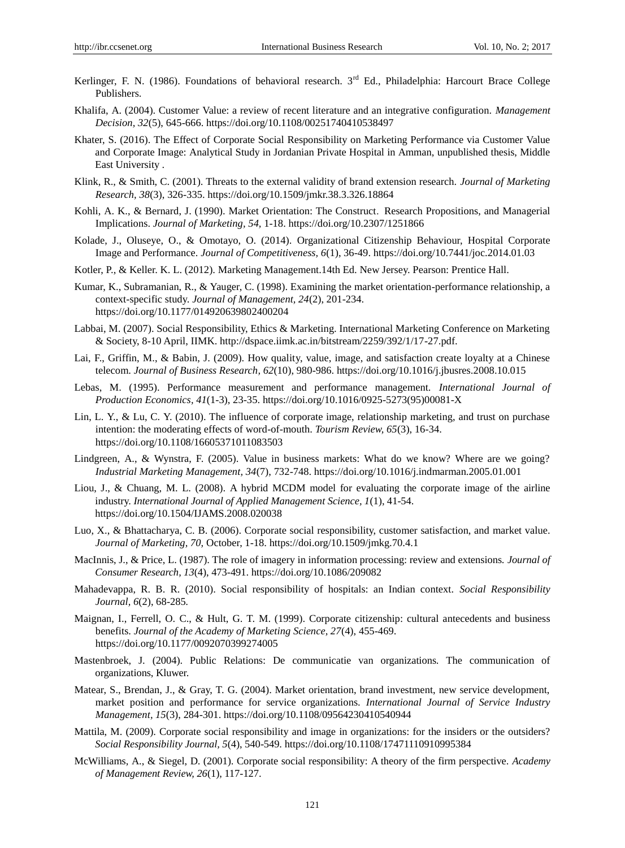- Kerlinger, F. N. (1986). Foundations of behavioral research. 3<sup>rd</sup> Ed., Philadelphia: Harcourt Brace College Publishers.
- Khalifa, A. (2004). Customer Value: a review of recent literature and an integrative configuration. *Management Decision, 32*(5), 645-666. <https://doi.org/10.1108/00251740410538497>
- Khater, S. (2016). The Effect of Corporate Social Responsibility on Marketing Performance via Customer Value and Corporate Image: Analytical Study in Jordanian Private Hospital in Amman, unpublished thesis, Middle East University .
- Klink, R., & Smith, C. (2001). Threats to the external validity of brand extension research. *Journal of Marketing Research, 38*(3), 326-335. <https://doi.org/10.1509/jmkr.38.3.326.18864>
- Kohli, A. K., & Bernard, J. (1990). Market Orientation: The Construct. Research Propositions, and Managerial Implications. *Journal of Marketing, 54,* 1-18. <https://doi.org/10.2307/1251866>
- Kolade, J., Oluseye, O., & Omotayo, O. (2014). Organizational Citizenship Behaviour, Hospital Corporate Image and Performance. *Journal of Competitiveness, 6*(1), 36-49. <https://doi.org/10.7441/joc.2014.01.03>
- Kotler, P., & Keller. K. L. (2012). Marketing Management.14th Ed. New Jersey. Pearson: Prentice Hall.
- Kumar, K., Subramanian, R., & Yauger, C. (1998). Examining the market orientation-performance relationship, a context-specific study. *Journal of Management, 24*(2), 201-234. <https://doi.org/10.1177/014920639802400204>
- Labbai, M. (2007). Social Responsibility, Ethics & Marketing. International Marketing Conference on Marketing & Society, 8-10 April, IIMK. http://dspace.iimk.ac.in/bitstream/2259/392/1/17-27.pdf.
- Lai, F., Griffin, M., & Babin, J. (2009). How quality, value, image, and satisfaction create loyalty at a Chinese telecom. *[Journal of Business Research,](http://www.sciencedirect.com/science/journal/01482963) 62*(10), 980-986. <https://doi.org/10.1016/j.jbusres.2008.10.015>
- Lebas, M. (1995). Performance measurement and performance management. *[International Journal of](https://www.researchgate.net/journal/0925-5273_International_Journal_of_Production_Economics)  [Production Economics,](https://www.researchgate.net/journal/0925-5273_International_Journal_of_Production_Economics) 41*(1-3), 23-35. [https://doi.org/10.1016/0925-5273\(95\)00081-X](https://doi.org/10.1016/0925-5273%2895%2900081-X)
- Lin, L. Y., & Lu, C. Y. (2010). The influence of corporate image, relationship marketing, and trust on purchase intention: the moderating effects of word-of-mouth. *Tourism Review, 65*(3), 16-34. <https://doi.org/10.1108/16605371011083503>
- Lindgreen, A., & Wynstra, F. (2005). Value in business markets: What do we know? Where are we going? *Industrial Marketing Management, 34*(7), 732-748. <https://doi.org/10.1016/j.indmarman.2005.01.001>
- Liou, J., & Chuang, M. L. (2008). A hybrid MCDM model for evaluating the corporate image of the airline industry. *International Journal of Applied Management Science, 1*(1), 41-54. <https://doi.org/10.1504/IJAMS.2008.020038>
- Luo, X., & Bhattacharya, C. B. (2006). Corporate social responsibility, customer satisfaction, and market value. *Journal of Marketing, 70,* October, 1-18. <https://doi.org/10.1509/jmkg.70.4.1>
- MacInnis, J., & Price, L. (1987). The role of imagery in information processing: review and extensions. *Journal of Consumer Research, 13*(4), 473-491. <https://doi.org/10.1086/209082>
- Mahadevappa, R. B. R. (2010). Social responsibility of hospitals: an Indian context. *Social Responsibility Journal, 6*(2), 68-285*.*
- Maignan, I., Ferrell, O. C., & Hult, G. T. M. (1999). Corporate citizenship: cultural antecedents and business benefits. *Journal of the Academy of Marketing Science, 27*(4), 455-469. <https://doi.org/10.1177/0092070399274005>
- Mastenbroek, J. (2004). Public Relations: De communicatie van organizations. The communication of organizations, Kluwer.
- Matear, S., Brendan, J., & Gray, T. G. (2004). Market orientation, brand investment, new service development, market position and performance for service organizations. *International Journal of Service Industry Management, 15*(3), 284-301. <https://doi.org/10.1108/09564230410540944>
- Mattila, M. (2009). Corporate social responsibility and image in organizations: for the insiders or the outsiders? *Social Responsibility Journal, 5*(4), 540-549. <https://doi.org/10.1108/17471110910995384>
- McWilliams, A., & Siegel, D. (2001). Corporate social responsibility: A theory of the firm perspective. *Academy of Management Review, 26*(1), 117-127.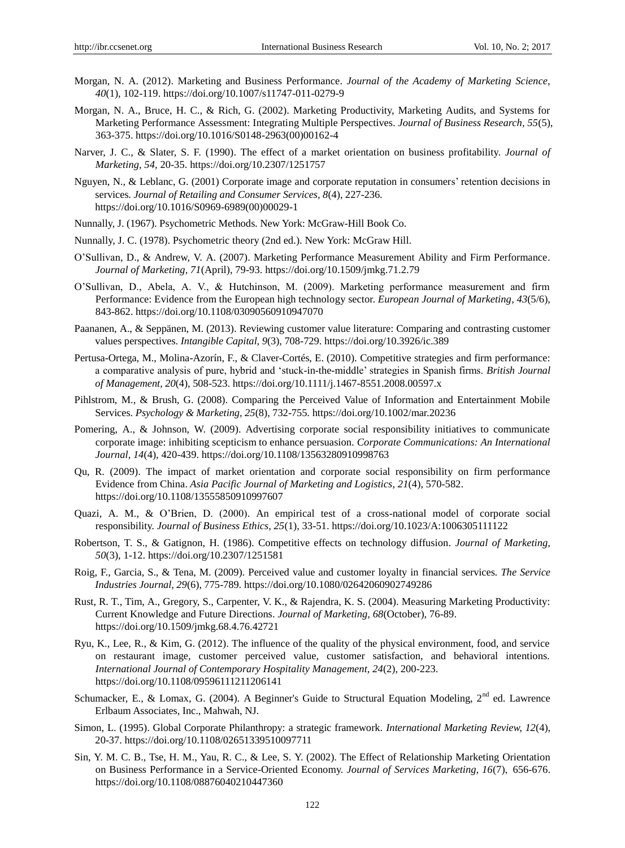- Morgan, N. A. (2012). Marketing and Business Performance. *Journal of the Academy of Marketing Science, 40*(1), 102-119. <https://doi.org/10.1007/s11747-011-0279-9>
- Morgan, N. A., Bruce, H. C., & Rich, G. (2002). Marketing Productivity, Marketing Audits, and Systems for Marketing Performance Assessment: Integrating Multiple Perspectives. *Journal of Business Research, 55*(5), 363-375. [https://doi.org/10.1016/S0148-2963\(00\)00162-4](https://doi.org/10.1016/S0148-2963%2800%2900162-4)
- Narver, J. C., & Slater, S. F. (1990). The effect of a market orientation on business profitability. *Journal of Marketing, 54,* 20-35. <https://doi.org/10.2307/1251757>
- Nguyen, N., & Leblanc, G. (2001) Corporate image and corporate reputation in consumers" retention decisions in services. *Journal of Retailing and Consumer Services, 8*(4), 227-236. [https://doi.org/10.1016/S0969-6989\(00\)00029-1](https://doi.org/10.1016/S0969-6989%2800%2900029-1)
- Nunnally, J. (1967). Psychometric Methods. New York: McGraw-Hill Book Co.
- Nunnally, J. C. (1978). Psychometric theory (2nd ed.). New York: McGraw Hill.
- O"Sullivan, D., & Andrew, V. A. (2007). Marketing Performance Measurement Ability and Firm Performance. *Journal of Marketing, 71*(April), 79-93. <https://doi.org/10.1509/jmkg.71.2.79>
- O"Sullivan, D., Abela, A. V., & Hutchinson, M. (2009). Marketing performance measurement and firm Performance: Evidence from the European high technology sector. *European Journal of Marketing, 43*(5/6), 843-862. <https://doi.org/10.1108/03090560910947070>
- Paananen, A., & Seppänen, M. (2013). Reviewing customer value literature: Comparing and contrasting customer values perspectives. *Intangible Capital, 9*(3), 708-729. <https://doi.org/10.3926/ic.389>
- Pertusa-Ortega, M., Molina-Azor n, F., & Claver-Cort &, E. (2010). Competitive strategies and firm performance: a comparative analysis of pure, hybrid and "stuck-in-the-middle" strategies in Spanish firms. *British Journal of Management, 20*(4), 508-523. <https://doi.org/10.1111/j.1467-8551.2008.00597.x>
- Pihlstrom, M., & Brush, G. (2008). Comparing the Perceived Value of Information and Entertainment Mobile Services. *Psychology & Marketing, 25*(8), 732-755. <https://doi.org/10.1002/mar.20236>
- Pomering, A., & Johnson, W. (2009). Advertising corporate social responsibility initiatives to communicate corporate image: inhibiting scepticism to enhance persuasion. *Corporate Communications: An International Journal, 14*(4), 420-439. <https://doi.org/10.1108/13563280910998763>
- Qu, R. (2009). The impact of market orientation and corporate social responsibility on firm performance Evidence from China. *Asia Pacific Journal of Marketing and Logistics, 21*(4), 570-582. <https://doi.org/10.1108/13555850910997607>
- Quazi, A. M., & O"Brien, D. (2000). An empirical test of a cross-national model of corporate social responsibility. *Journal of Business Ethics, 25*(1), 33-51. <https://doi.org/10.1023/A:1006305111122>
- Robertson, T. S., & Gatignon, H. (1986). Competitive effects on technology diffusion. *Journal of Marketing, 50*(3), 1-12. <https://doi.org/10.2307/1251581>
- Roig, F., Garcia, S., & Tena, M. (2009). Perceived value and customer loyalty in financial services. *The Service Industries Journal, 29*(6), 775-789. <https://doi.org/10.1080/02642060902749286>
- Rust, R. T., Tim, A., Gregory, S., Carpenter, V. K., & Rajendra, K. S. (2004). Measuring Marketing Productivity: Current Knowledge and Future Directions. *Journal of Marketing, 68*(October), 76-89. <https://doi.org/10.1509/jmkg.68.4.76.42721>
- Ryu, K., Lee, R., & Kim, G. (2012). The influence of the quality of the physical environment, food, and service on restaurant image, customer perceived value, customer satisfaction, and behavioral intentions. *International Journal of Contemporary Hospitality Management, 24*(2), 200-223. <https://doi.org/10.1108/09596111211206141>
- Schumacker, E., & Lomax, G. (2004). A Beginner's Guide to Structural Equation Modeling, 2<sup>nd</sup> ed. Lawrence Erlbaum Associates, Inc., Mahwah, NJ.
- Simon, L. (1995). Global Corporate Philanthropy: a strategic framework. *International Marketing Review, 12*(4), 20-37. <https://doi.org/10.1108/02651339510097711>
- Sin, Y. M. C. B., Tse, H. M., Yau, R. C., & Lee, S. Y. (2002). The Effect of Relationship Marketing Orientation on Business Performance in a Service-Oriented Economy. *Journal of Services Marketing, 16*(7), 656-676. <https://doi.org/10.1108/08876040210447360>